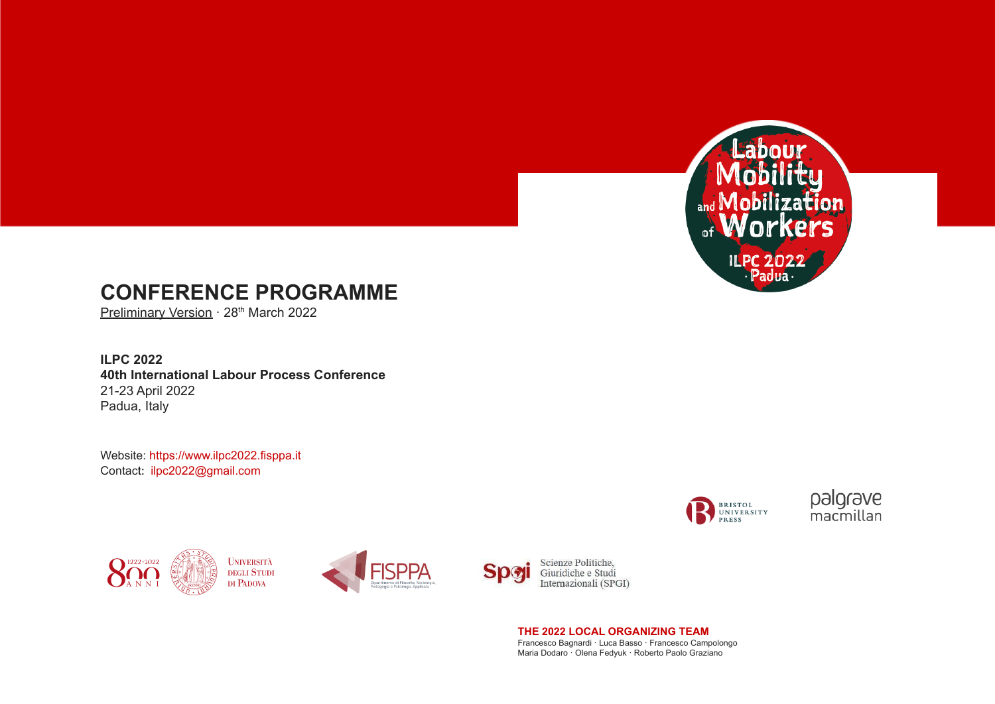

# **CONFERENCE PROGRAMME**

Preliminary Version · 28<sup>th</sup> March 2022

**ILPC 2022 40th International Labour Process Conference** 21-23 April 2022 Padua, Italy

Website: <https://www.ilpc2022.fisppa.it> Contact: [ilpc2022@gmail.com](mailto:ilpc2022@gmail.com)





Scienze Politiche. Giuridiche e Studi Internazionali (SPGI)

**THE 2022 LOCAL ORGANIZING TEAM**

Francesco Bagnardi · Luca Basso · Francesco Campolongo Maria Dodaro · Olena Fedyuk · Roberto Paolo Graziano



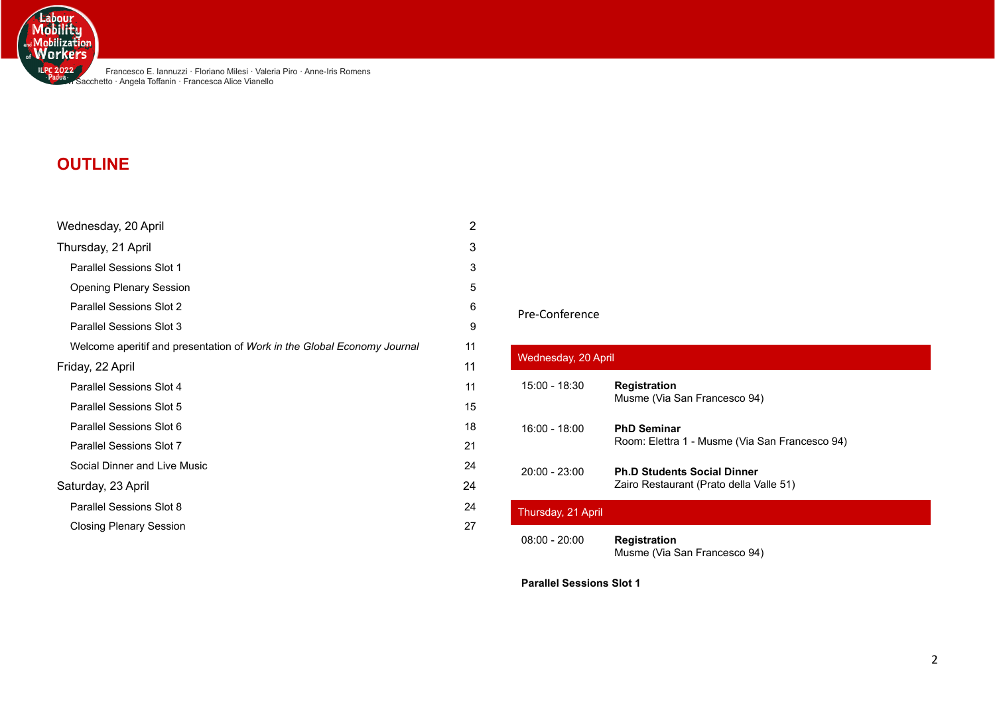

Francesco E. Iannuzzi · Floriano Milesi · Valeria Piro · Anne-Iris Romens **Devi Sacchetto · Angela Toffanin · Francesca Alice Vianello** 

# **OUTLINE**

| Wednesday, 20 April                                                     | 2  |
|-------------------------------------------------------------------------|----|
| Thursday, 21 April                                                      | 3  |
| <b>Parallel Sessions Slot 1</b>                                         | 3  |
| <b>Opening Plenary Session</b>                                          | 5  |
| Parallel Sessions Slot 2                                                | 6  |
| Parallel Sessions Slot 3                                                | 9  |
| Welcome aperitif and presentation of Work in the Global Economy Journal | 11 |
| Friday, 22 April                                                        | 11 |
| Parallel Sessions Slot 4                                                | 11 |
| <b>Parallel Sessions Slot 5</b>                                         | 15 |
| Parallel Sessions Slot 6                                                | 18 |
| Parallel Sessions Slot 7                                                | 21 |
| Social Dinner and Live Music                                            | 24 |
| Saturday, 23 April                                                      | 24 |
| Parallel Sessions Slot 8                                                | 24 |
| <b>Closing Plenary Session</b>                                          | 27 |

# Pre-Conference

<span id="page-1-0"></span>

| Wednesday, 20 April |                                                                               |  |  |
|---------------------|-------------------------------------------------------------------------------|--|--|
| 15:00 - 18:30       | <b>Registration</b><br>Musme (Via San Francesco 94)                           |  |  |
| 16:00 - 18:00       | <b>PhD Seminar</b><br>Room: Elettra 1 - Musme (Via San Francesco 94)          |  |  |
| $20:00 - 23:00$     | <b>Ph.D Students Social Dinner</b><br>Zairo Restaurant (Prato della Valle 51) |  |  |
| Thursday, 21 April  |                                                                               |  |  |
| $08:00 - 20:00$     | <b>Registration</b><br>Musme (Via San Francesco 94)                           |  |  |

<span id="page-1-2"></span><span id="page-1-1"></span>**Parallel Sessions Slot 1**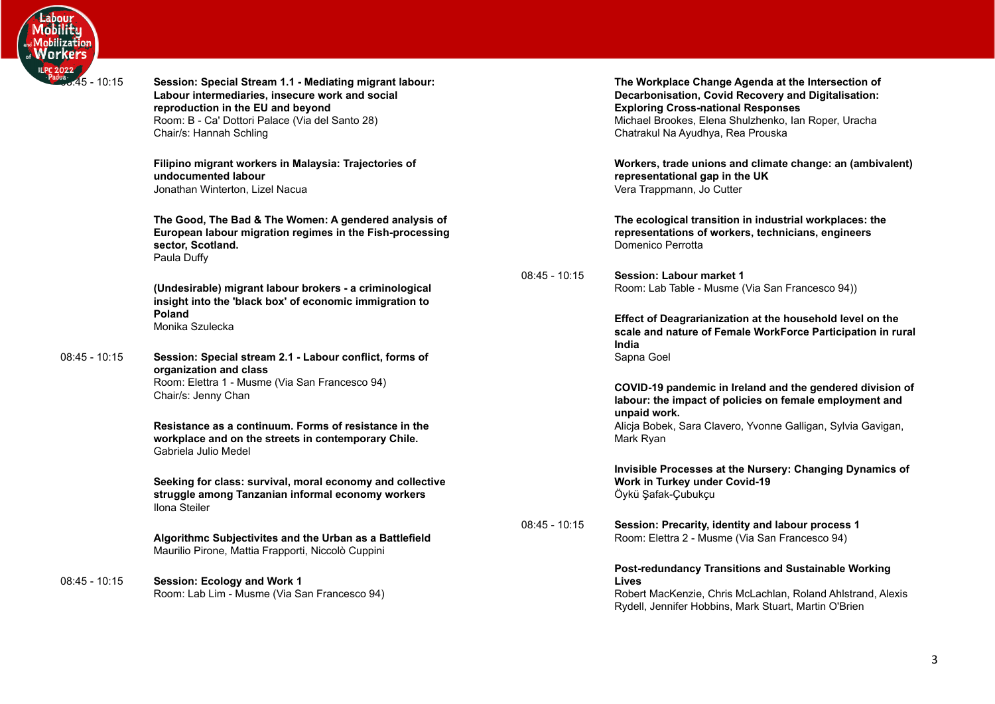

08:45 - 10:15 **Session: Special Stream 1.1 - Mediating migrant labour: Labour intermediaries, insecure work and social reproduction in the EU and beyond** Room: B - Ca' Dottori Palace (Via del Santo 28) Chair/s: Hannah Schling

> **Filipino migrant workers in Malaysia: Trajectories of undocumented labour** Jonathan Winterton, Lizel Nacua

**The Good, The Bad & The Women: A gendered analysis of European labour migration regimes in the Fish-processing sector, Scotland.** Paula Duffy

**(Undesirable) migrant labour brokers - a criminological insight into the 'black box' of economic immigration to Poland** Monika Szulecka

08:45 - 10:15 **Session: Special stream 2.1 - Labour conflict, forms of organization and class** Room: Elettra 1 - Musme (Via San Francesco 94) Chair/s: Jenny Chan

> **Resistance as a continuum. Forms of resistance in the workplace and on the streets in contemporary Chile.** Gabriela Julio Medel

**Seeking for class: survival, moral economy and collective struggle among Tanzanian informal economy workers** Ilona Steiler

**Algorithmc Subjectivites and the Urban as a Battlefield** Maurilio Pirone, Mattia Frapporti, Niccolò Cuppini

08:45 - 10:15 **Session: Ecology and Work 1** Room: Lab Lim - Musme (Via San Francesco 94) **The Workplace Change Agenda at the Intersection of Decarbonisation, Covid Recovery and Digitalisation: Exploring Cross-national Responses** Michael Brookes, Elena Shulzhenko, Ian Roper, Uracha Chatrakul Na Ayudhya, Rea Prouska

**Workers, trade unions and climate change: an (ambivalent) representational gap in the UK** Vera Trappmann, Jo Cutter

**The ecological transition in industrial workplaces: the representations of workers, technicians, engineers** Domenico Perrotta

08:45 - 10:15 **Session: Labour market 1** Room: Lab Table - Musme (Via San Francesco 94))

> **Effect of Deagrarianization at the household level on the scale and nature of Female WorkForce Participation in rural India** Sapna Goel

> **COVID-19 pandemic in Ireland and the gendered division of labour: the impact of policies on female employment and unpaid work.** Alicia Bobek, Sara Clavero, Yvonne Galligan, Sylvia Gavigan, Mark Ryan

**Invisible Processes at the Nursery: Changing Dynamics of Work in Turkey under Covid-19** Öykü Şafak-Çubukçu

08:45 - 10:15 **Session: Precarity, identity and labour process 1** Room: Elettra 2 - Musme (Via San Francesco 94)

## **Post-redundancy Transitions and Sustainable Working Lives**

Robert MacKenzie, Chris McLachlan, Roland Ahlstrand, Alexis Rydell, Jennifer Hobbins, Mark Stuart, Martin O'Brien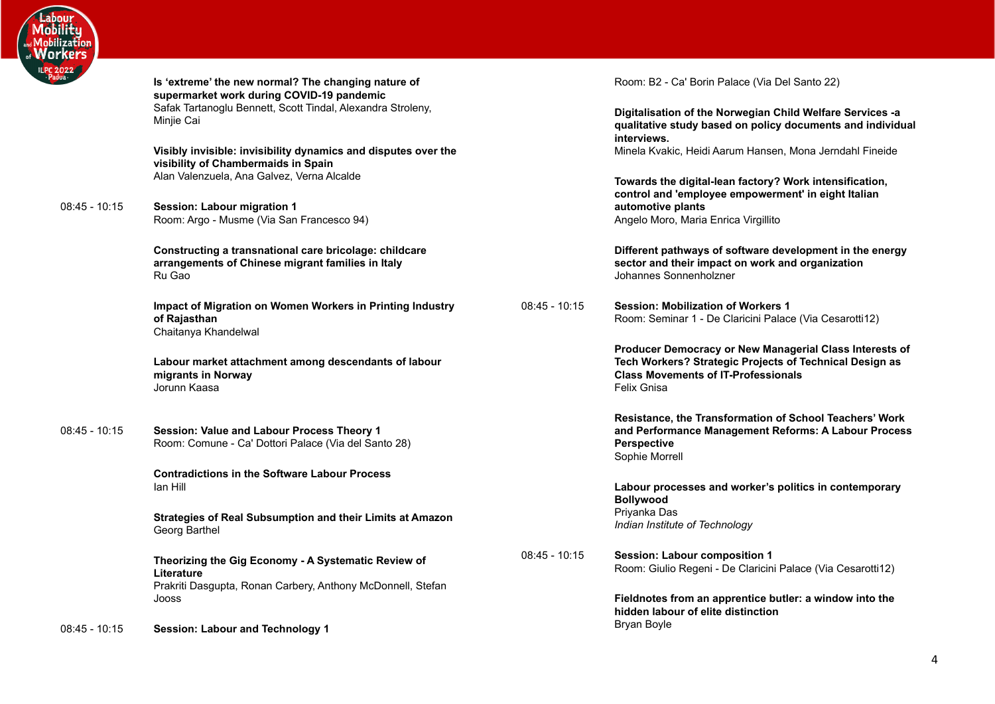

**Is 'extreme' the new normal? The changing nature of supermarket work during COVID-19 pandemic** Safak Tartanoglu Bennett, Scott Tindal, Alexandra Stroleny, Minjie Cai

**Visibly invisible: invisibility dynamics and disputes over the visibility of Chambermaids in Spain** Alan Valenzuela, Ana Galvez, Verna Alcalde

08:45 - 10:15 **Session: Labour migration 1** Room: Argo - Musme (Via San Francesco 94)

> **Constructing a transnational care bricolage: childcare arrangements of Chinese migrant families in Italy** Ru Gao

**Impact of Migration on Women Workers in Printing Industry of Rajasthan** Chaitanya Khandelwal

**Labour market attachment among descendants of labour migrants in Norway** Jorunn Kaasa

08:45 - 10:15 **Session: Value and Labour Process Theory 1** Room: Comune - Ca' Dottori Palace (Via del Santo 28)

> **Contradictions in the Software Labour Process** Ian Hill

**Strategies of Real Subsumption and their Limits at Amazon** Georg Barthel

**Theorizing the Gig Economy - A Systematic Review of Literature** Prakriti Dasgupta, Ronan Carbery, Anthony McDonnell, Stefan Jooss

08:45 - 10:15 **Session: Labour and Technology 1**

Room: B2 - Ca' Borin Palace (Via Del Santo 22)

**Digitalisation of the Norwegian Child Welfare Services -a qualitative study based on policy documents and individual interviews.** Minela Kvakic, Heidi Aarum Hansen, Mona Jerndahl Fineide

**Towards the digital-lean factory? Work intensification, control and 'employee empowerment' in eight Italian automotive plants** Angelo Moro, Maria Enrica Virgillito

**Different pathways of software development in the energy sector and their impact on work and organization** Johannes Sonnenholzner

08:45 - 10:15 **Session: Mobilization of Workers 1** Room: Seminar 1 - De Claricini Palace (Via Cesarotti12)

> **Producer Democracy or New Managerial Class Interests of Tech Workers? Strategic Projects of Technical Design as Class Movements of IT-Professionals** Felix Gnisa

> **Resistance, the Transformation of School Teachers' Work and Performance Management Reforms: A Labour Process Perspective** Sophie Morrell

**Labour processes and worker's politics in contemporary Bollywood** Priyanka Das *Indian Institute of Technology*

08:45 - 10:15 **Session: Labour composition 1** Room: Giulio Regeni - De Claricini Palace (Via Cesarotti12)

> **Fieldnotes from an apprentice butler: a window into the hidden labour of elite distinction** Bryan Boyle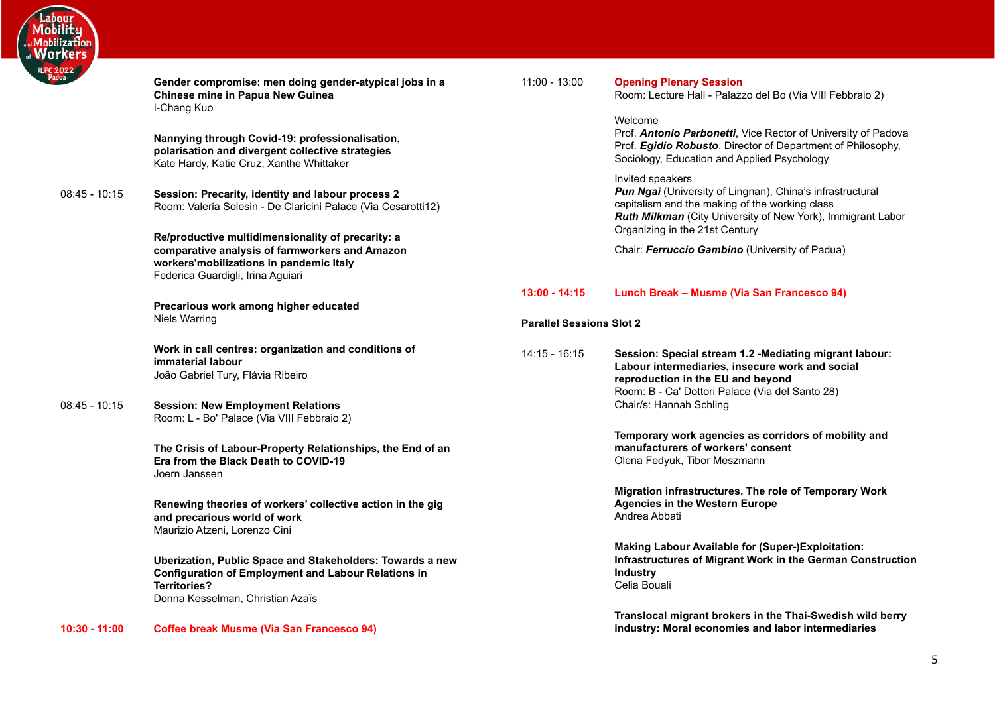

<span id="page-4-1"></span><span id="page-4-0"></span>

| .022<br>Jua     |                                                                                                                                                                                    |                                 |                                                                                                                                                                                                                                  |
|-----------------|------------------------------------------------------------------------------------------------------------------------------------------------------------------------------------|---------------------------------|----------------------------------------------------------------------------------------------------------------------------------------------------------------------------------------------------------------------------------|
|                 | Gender compromise: men doing gender-atypical jobs in a<br>Chinese mine in Papua New Guinea<br>I-Chang Kuo                                                                          | $11:00 - 13:00$                 | <b>Opening Plenary Session</b><br>Room: Lecture Hall - Palazzo del Bo (Via VIII Febbraio 2)                                                                                                                                      |
|                 | Nannying through Covid-19: professionalisation,<br>polarisation and divergent collective strategies<br>Kate Hardy, Katie Cruz, Xanthe Whittaker                                    |                                 | Welcome<br>Prof. Antonio Parbonetti, Vice Rector of University of Padova<br>Prof. Egidio Robusto, Director of Department of Philosophy,<br>Sociology, Education and Applied Psychology                                           |
| $08:45 - 10:15$ | Session: Precarity, identity and labour process 2<br>Room: Valeria Solesin - De Claricini Palace (Via Cesarotti12)<br>Re/productive multidimensionality of precarity: a            |                                 | Invited speakers<br>Pun Ngai (University of Lingnan), China's infrastructural<br>capitalism and the making of the working class<br>Ruth Milkman (City University of New York), Immigrant Labor<br>Organizing in the 21st Century |
|                 | comparative analysis of farmworkers and Amazon<br>workers'mobilizations in pandemic Italy<br>Federica Guardigli, Irina Aguiari                                                     |                                 | Chair: Ferruccio Gambino (University of Padua)                                                                                                                                                                                   |
|                 |                                                                                                                                                                                    | $13:00 - 14:15$                 | Lunch Break - Musme (Via San Francesco 94)                                                                                                                                                                                       |
|                 | Precarious work among higher educated<br>Niels Warring                                                                                                                             | <b>Parallel Sessions Slot 2</b> |                                                                                                                                                                                                                                  |
|                 | Work in call centres: organization and conditions of<br>immaterial labour<br>João Gabriel Tury, Flávia Ribeiro                                                                     | 14:15 - 16:15                   | Session: Special stream 1.2 -Mediating migrant labour:<br>Labour intermediaries, insecure work and social<br>reproduction in the EU and beyond<br>Room: B - Ca' Dottori Palace (Via del Santo 28)                                |
| $08:45 - 10:15$ | <b>Session: New Employment Relations</b><br>Room: L - Bo' Palace (Via VIII Febbraio 2)                                                                                             |                                 | Chair/s: Hannah Schling                                                                                                                                                                                                          |
|                 | The Crisis of Labour-Property Relationships, the End of an<br>Era from the Black Death to COVID-19<br>Joern Janssen                                                                |                                 | Temporary work agencies as corridors of mobility and<br>manufacturers of workers' consent<br>Olena Fedyuk, Tibor Meszmann                                                                                                        |
|                 | Renewing theories of workers' collective action in the gig<br>and precarious world of work<br>Maurizio Atzeni, Lorenzo Cini                                                        |                                 | Migration infrastructures. The role of Temporary Work<br><b>Agencies in the Western Europe</b><br>Andrea Abbati                                                                                                                  |
|                 | Uberization, Public Space and Stakeholders: Towards a new<br><b>Configuration of Employment and Labour Relations in</b><br><b>Territories?</b><br>Donna Kesselman, Christian Azaïs |                                 | <b>Making Labour Available for (Super-)Exploitation:</b><br>Infrastructures of Migrant Work in the German Construction<br><b>Industry</b><br>Celia Bouali                                                                        |
| $10:30 - 11:00$ | <b>Coffee break Musme (Via San Francesco 94)</b>                                                                                                                                   |                                 | Translocal migrant brokers in the Thai-Swedish wild berry<br>industry: Moral economies and labor intermediaries                                                                                                                  |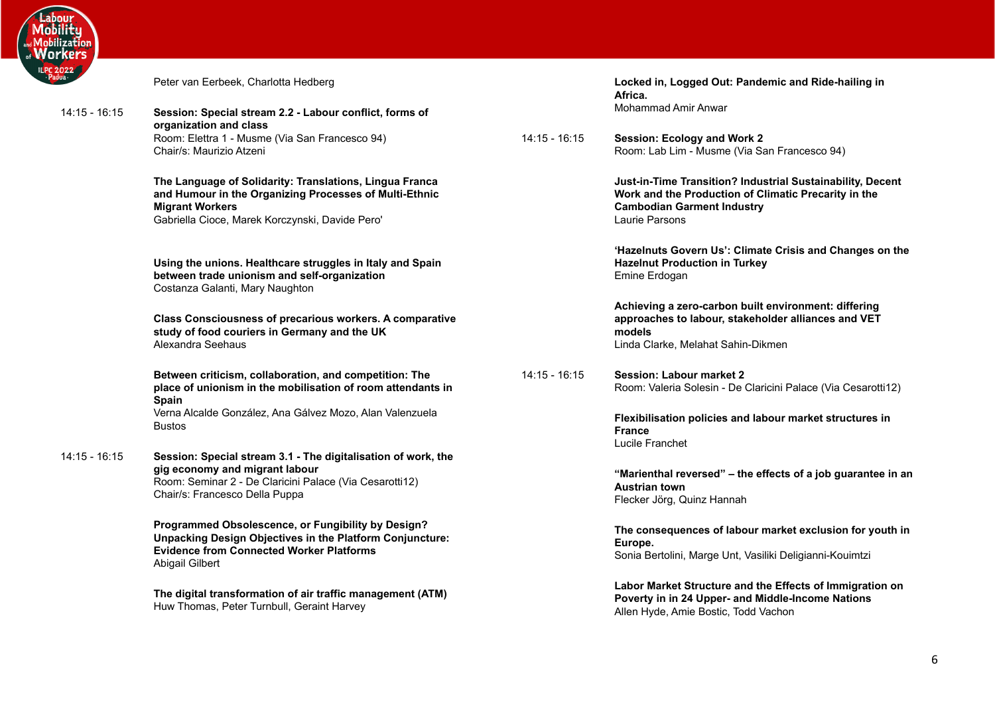

| rkers         |                                                                                                                                                                                                |                 |                                                                                                                                                                           |
|---------------|------------------------------------------------------------------------------------------------------------------------------------------------------------------------------------------------|-----------------|---------------------------------------------------------------------------------------------------------------------------------------------------------------------------|
| 2022          | Peter van Eerbeek, Charlotta Hedberg                                                                                                                                                           |                 | Locked in, Logged Out: Pandemic and Ride-hailing in<br>Africa.                                                                                                            |
| 14:15 - 16:15 | Session: Special stream 2.2 - Labour conflict, forms of                                                                                                                                        |                 | <b>Mohammad Amir Anwar</b>                                                                                                                                                |
|               | organization and class<br>Room: Elettra 1 - Musme (Via San Francesco 94)<br>Chair/s: Maurizio Atzeni                                                                                           | $14:15 - 16:15$ | <b>Session: Ecology and Work 2</b><br>Room: Lab Lim - Musme (Via San Francesco 94)                                                                                        |
|               | The Language of Solidarity: Translations, Lingua Franca<br>and Humour in the Organizing Processes of Multi-Ethnic<br><b>Migrant Workers</b><br>Gabriella Cioce, Marek Korczynski, Davide Pero' |                 | Just-in-Time Transition? Industrial Sustainability, Decent<br>Work and the Production of Climatic Precarity in the<br><b>Cambodian Garment Industry</b><br>Laurie Parsons |
|               | Using the unions. Healthcare struggles in Italy and Spain<br>between trade unionism and self-organization<br>Costanza Galanti, Mary Naughton                                                   |                 | 'Hazelnuts Govern Us': Climate Crisis and Changes on the<br><b>Hazelnut Production in Turkey</b><br>Emine Erdogan                                                         |
|               | Class Consciousness of precarious workers. A comparative<br>study of food couriers in Germany and the UK<br>Alexandra Seehaus                                                                  |                 | Achieving a zero-carbon built environment: differing<br>approaches to labour, stakeholder alliances and VET<br>models<br>Linda Clarke, Melahat Sahin-Dikmen               |
|               | Between criticism, collaboration, and competition: The<br>place of unionism in the mobilisation of room attendants in<br><b>Spain</b>                                                          | $14:15 - 16:15$ | <b>Session: Labour market 2</b><br>Room: Valeria Solesin - De Claricini Palace (Via Cesarotti12)                                                                          |
|               | Verna Alcalde González, Ana Gálvez Mozo, Alan Valenzuela<br><b>Bustos</b>                                                                                                                      |                 | Flexibilisation policies and labour market structures in<br><b>France</b><br>Lucile Franchet                                                                              |
| 14:15 - 16:15 | Session: Special stream 3.1 - The digitalisation of work, the<br>gig economy and migrant labour<br>Room: Seminar 2 - De Claricini Palace (Via Cesarotti12)<br>Chair/s: Francesco Della Puppa   |                 | "Marienthal reversed" – the effects of a job guarantee in an<br><b>Austrian town</b><br>Flecker Jörg, Quinz Hannah                                                        |
|               | Programmed Obsolescence, or Fungibility by Design?<br><b>Unpacking Design Objectives in the Platform Conjuncture:</b><br><b>Evidence from Connected Worker Platforms</b><br>Abigail Gilbert    |                 | The consequences of labour market exclusion for youth in<br>Europe.<br>Sonia Bertolini, Marge Unt, Vasiliki Deligianni-Kouimtzi                                           |

**The digital transformation of air traffic management (ATM)** Huw Thomas, Peter Turnbull, Geraint Harvey

**Labor Market Structure and the Effects of Immigration on Poverty in in 24 Upper- and Middle-Income Nations** Allen Hyde, Amie Bostic, Todd Vachon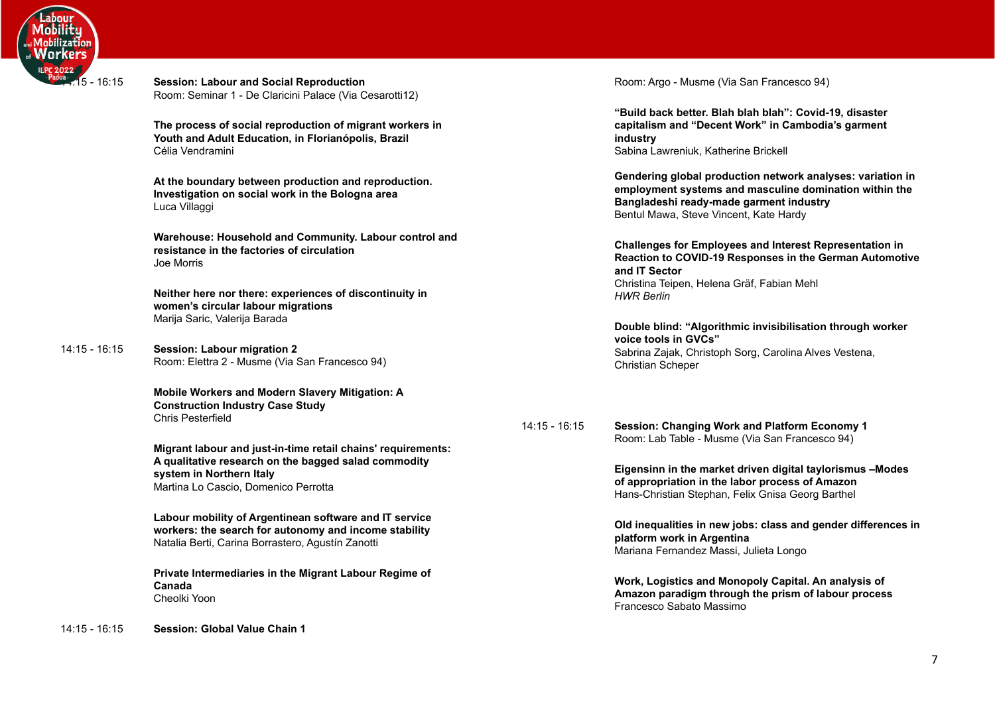

14:15 -

| $\frac{\pi}{14.15}$ - 16:15 | <b>Session: Labour and Social Reproduction</b><br>Room: Seminar 1 - De Claricini Palace (Via Cesarotti12)                           |                 | Room: Argo - Musme (Via San Francesco 94)                                                                                                                                         |
|-----------------------------|-------------------------------------------------------------------------------------------------------------------------------------|-----------------|-----------------------------------------------------------------------------------------------------------------------------------------------------------------------------------|
|                             | The process of social reproduction of migrant workers in<br>Youth and Adult Education, in Florianópolis, Brazil<br>Célia Vendramini |                 | "Build back better. Blah blah blah": Covid-19<br>capitalism and "Decent Work" in Cambodia'<br>industry<br>Sabina Lawreniuk, Katherine Brickell                                    |
|                             | At the boundary between production and reproduction.<br>Investigation on social work in the Bologna area<br>Luca Villaggi           |                 | <b>Gendering global production network analys</b><br>employment systems and masculine domina<br>Bangladeshi ready-made garment industry<br>Bentul Mawa, Steve Vincent, Kate Hardy |
|                             | Warehouse: Household and Community. Labour control and<br>resistance in the factories of circulation<br>Joe Morris                  |                 | <b>Challenges for Employees and Interest Repr</b><br>Reaction to COVID-19 Responses in the Ger<br>and IT Sector                                                                   |
|                             | Neither here nor there: experiences of discontinuity in<br>women's circular labour migrations                                       |                 | Christina Teipen, Helena Gräf, Fabian Mehl<br><b>HWR Berlin</b>                                                                                                                   |
|                             | Marija Saric, Valerija Barada                                                                                                       |                 | Double blind: "Algorithmic invisibilisation th<br>voice tools in GVCs"                                                                                                            |
| 14:15 - 16:15               | <b>Session: Labour migration 2</b><br>Room: Elettra 2 - Musme (Via San Francesco 94)                                                |                 | Sabrina Zajak, Christoph Sorg, Carolina Alves \<br>Christian Scheper                                                                                                              |
|                             | Mobile Workers and Modern Slavery Mitigation: A<br><b>Construction Industry Case Study</b>                                          |                 |                                                                                                                                                                                   |
|                             | <b>Chris Pesterfield</b>                                                                                                            | $14:15 - 16:15$ | <b>Session: Changing Work and Platform Econ</b><br>Room: Lab Table - Musme (Via San Francesco                                                                                     |
|                             | Migrant labour and just-in-time retail chains' requirements:                                                                        |                 |                                                                                                                                                                                   |
|                             | A qualitative research on the bagged salad commodity<br>system in Northern Italy                                                    |                 | Eigensinn in the market driven digital taylor                                                                                                                                     |
|                             | Martina Lo Cascio, Domenico Perrotta                                                                                                |                 | of appropriation in the labor process of Ama<br>Hans-Christian Stephan, Felix Gnisa Georg Ba                                                                                      |
|                             | Labour mobility of Argentinean software and IT service                                                                              |                 | Old inequalities in new jobs: class and gend                                                                                                                                      |
|                             | workers: the search for autonomy and income stability<br>Natalia Berti, Carina Borrastero, Agustín Zanotti                          |                 | platform work in Argentina<br>Mariana Fernandez Massi, Julieta Longo                                                                                                              |
|                             | Private Intermediaries in the Migrant Labour Regime of<br>Canada                                                                    |                 | Work, Logistics and Monopoly Capital. An a                                                                                                                                        |
|                             | Cheolki Yoon                                                                                                                        |                 | Amazon paradigm through the prism of labo<br>Francesco Sabato Massimo                                                                                                             |

19, disaster 's garment

**ses: variation in ation within the** 

**Challenges** for essentation in **Ready** Francente

**hrough worker** Vestena,

<mark>1 (</mark>16 omy<br>1 Room: Lab Table - Musme (Via San Francesco 94)

> **Eigensinn in the market driven digital taylorismus –Modes of appropriation in the labor process of Amazon** Hans-Christian Stephan, Felix Gnisa Georg Barthel

**der differences in** 

**Work, Logistics and Monopoly Capital. An analysis of bur** process Francesco Sabato Massimo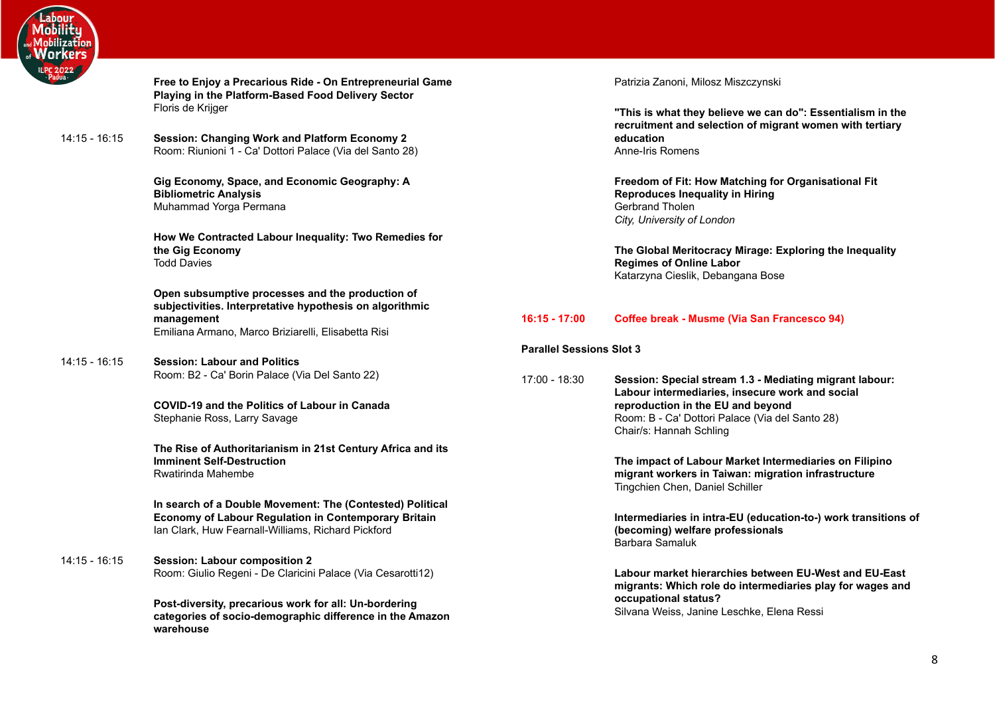

|                 | <b>Playing in the Platform-Based Food Delivery Sector</b><br>Floris de Krijger                                                                                                    |
|-----------------|-----------------------------------------------------------------------------------------------------------------------------------------------------------------------------------|
| $14:15 - 16:15$ | <b>Session: Changing Work and Platform Economy 2</b><br>Room: Riunioni 1 - Ca' Dottori Palace (Via del Santo 28)                                                                  |
|                 | Gig Economy, Space, and Economic Geography: A<br><b>Bibliometric Analysis</b><br>Muhammad Yorga Permana                                                                           |
|                 | How We Contracted Labour Inequality: Two Remedies for<br>the Gig Economy<br><b>Todd Davies</b>                                                                                    |
|                 | Open subsumptive processes and the production of<br>subjectivities. Interpretative hypothesis on algorithmic<br>management<br>Emiliana Armano, Marco Briziarelli, Elisabetta Risi |
| $14:15 - 16:15$ | <b>Session: Labour and Politics</b><br>Room: B2 - Ca' Borin Palace (Via Del Santo 22)                                                                                             |
|                 | COVID-19 and the Politics of Labour in Canada<br>Stephanie Ross, Larry Savage                                                                                                     |
|                 | The Rise of Authoritarianism in 21st Century Africa and its<br><b>Imminent Self-Destruction</b>                                                                                   |

**Free to Enjoy a Precarious Ride - On Entrepreneurial Game**

Rwatirinda Mahembe

**In search of a Double Movement: The (Contested) Political Economy of Labour Regulation in Contemporary Britain** Ian Clark, Huw Fearnall-Williams, Richard Pickford

14:15 - 16:15 **Session: Labour composition 2** Room: Giulio Regeni - De Claricini Palace (Via Cesarotti12)

> **Post-diversity, precarious work for all: Un-bordering categories of socio-demographic difference in the Amazon warehouse**

Patrizia Zanoni, Milosz Miszczynski

**"This is what they believe we can do": Essentialism in the recruitment and selection of migrant women with tertiary education** Anne-Iris Romens

**Freedom of Fit: How Matching for Organisational Fit Reproduces Inequality in Hiring** Gerbrand Tholen *City, University of London*

**The Global Meritocracy Mirage: Exploring the Inequality Regimes of Online Labor** Katarzyna Cieslik, Debangana Bose

# **16:15 - 17:00 Coffee break - Musme (Via San Francesco 94)**

# <span id="page-7-0"></span>**Parallel Sessions Slot 3**

17:00 - 18:30 **Session: Special stream 1.3 - Mediating migrant labour: Labour intermediaries, insecure work and social reproduction in the EU and beyond** Room: B - Ca' Dottori Palace (Via del Santo 28) Chair/s: Hannah Schling

> **The impact of Labour Market Intermediaries on Filipino migrant workers in Taiwan: migration infrastructure** Tingchien Chen, Daniel Schiller

**Intermediaries in intra-EU (education-to-) work transitions of (becoming) welfare professionals** Barbara Samaluk

**Labour market hierarchies between EU-West and EU-East migrants: Which role do intermediaries play for wages and occupational status?** Silvana Weiss, Janine Leschke, Elena Ressi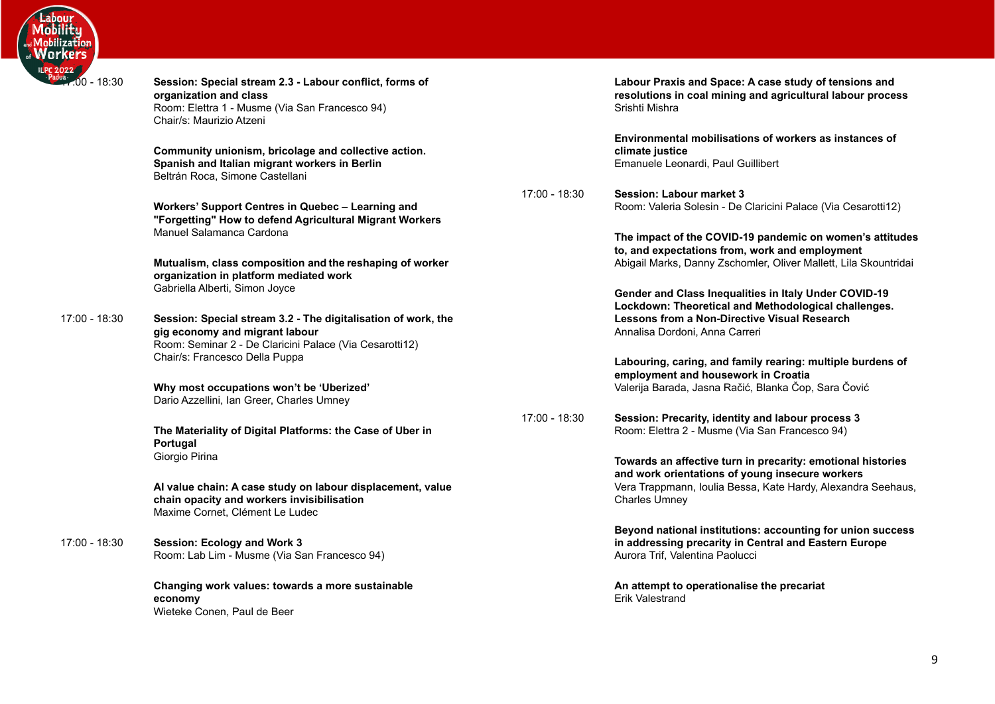

| $\frac{022}{1100}$ - 18:30 | Session: Special stream 2.3 - Labour conflict, forms of<br>organization and class<br>Room: Elettra 1 - Musme (Via San Francesco 94)<br>Chair/s: Maurizio Atzeni                              |           |
|----------------------------|----------------------------------------------------------------------------------------------------------------------------------------------------------------------------------------------|-----------|
|                            | Community unionism, bricolage and collective action.<br>Spanish and Italian migrant workers in Berlin<br>Beltrán Roca, Simone Castellani                                                     |           |
|                            | Workers' Support Centres in Quebec - Learning and<br>"Forgetting" How to defend Agricultural Migrant Workers<br>Manuel Salamanca Cardona                                                     | $17:00 -$ |
|                            | Mutualism, class composition and the reshaping of worker<br>organization in platform mediated work<br>Gabriella Alberti, Simon Joyce                                                         |           |
| 17:00 - 18:30              | Session: Special stream 3.2 - The digitalisation of work, the<br>gig economy and migrant labour<br>Room: Seminar 2 - De Claricini Palace (Via Cesarotti12)<br>Chair/s: Francesco Della Puppa |           |
|                            | Why most occupations won't be 'Uberized'<br>Dario Azzellini, Ian Greer, Charles Umney                                                                                                        |           |
|                            | The Materiality of Digital Platforms: the Case of Uber in<br>Portugal<br>Giorgio Pirina                                                                                                      | 17:00 -   |
|                            | Al value chain: A case study on labour displacement, value<br>chain opacity and workers invisibilisation<br>Maxime Cornet, Clément Le Ludec                                                  |           |
| 17:00 - 18:30              | <b>Session: Ecology and Work 3</b><br>Room: Lab Lim - Musme (Via San Francesco 94)                                                                                                           |           |
|                            | Changing work values: towards a more sustainable<br>economy<br>Wieteke Conen, Paul de Beer                                                                                                   |           |

**Labour Praxis and Space: A case study of tensions and resolutions in coal mining and agricultural labour process** Srishti Mishra

**Environmental mobilisations of workers as instances of climate justice** Emanuele Leonardi, Paul Guillibert

17:00 - 18:30 **Session: Labour market 3** Room: Valeria Solesin - De Claricini Palace (Via Cesarotti12)

> **The impact of the COVID-19 pandemic on women's attitudes to, and expectations from, work and employment** Abigail Marks, Danny Zschomler, Oliver Mallett, Lila Skountridai

**Gender and Class Inequalities in Italy Under COVID-19 Lockdown: Theoretical and Methodological challenges. Lessons from a Non-Directive Visual Research** Annalisa Dordoni, Anna Carreri

**Labouring, caring, and family rearing: multiple burdens of employment and housework in Croatia** Valerija Barada, Jasna Račić, Blanka Čop, Sara Čović

17:00 - 18:30 **Session: Precarity, identity and labour process 3** Room: Elettra 2 - Musme (Via San Francesco 94)

> **Towards an affective turn in precarity: emotional histories and work orientations of young insecure workers** Vera Trappmann, Ioulia Bessa, Kate Hardy, Alexandra Seehaus, Charles Umney

> **Beyond national institutions: accounting for union success in addressing precarity in Central and Eastern Europe** Aurora Trif, Valentina Paolucci

**An attempt to operationalise the precariat** Erik Valestrand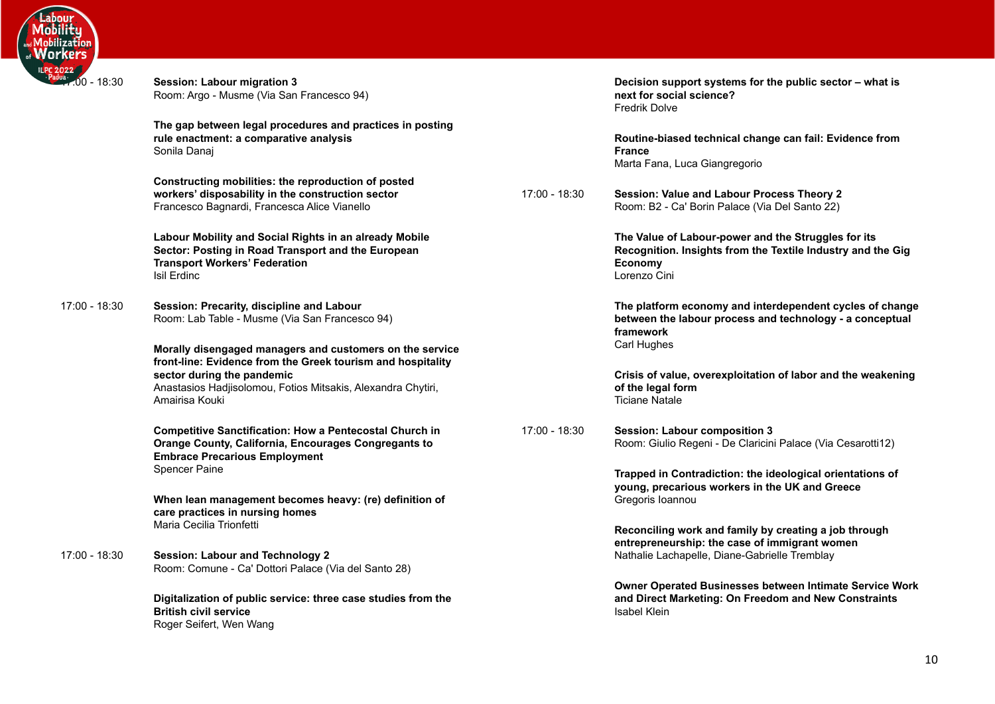

| $\frac{du}{dx}$ (00 - 18:30) | <b>Session: Labour migration 3</b><br>Room: Argo - Musme (Via San Francesco 94)                                                                                                                                                         |               | Decision support systems for the public sector - what is<br>next for social science?<br><b>Fredrik Dolve</b>                                         |
|------------------------------|-----------------------------------------------------------------------------------------------------------------------------------------------------------------------------------------------------------------------------------------|---------------|------------------------------------------------------------------------------------------------------------------------------------------------------|
|                              | The gap between legal procedures and practices in posting<br>rule enactment: a comparative analysis<br>Sonila Danaj                                                                                                                     |               | Routine-biased technical change can fail: Evidence from<br><b>France</b><br>Marta Fana, Luca Giangregorio                                            |
|                              | Constructing mobilities: the reproduction of posted<br>workers' disposability in the construction sector<br>Francesco Bagnardi, Francesca Alice Vianello                                                                                | 17:00 - 18:30 | Session: Value and Labour Process Theory 2<br>Room: B2 - Ca' Borin Palace (Via Del Santo 22)                                                         |
|                              | Labour Mobility and Social Rights in an already Mobile<br>Sector: Posting in Road Transport and the European<br><b>Transport Workers' Federation</b><br>Isil Erdinc                                                                     |               | The Value of Labour-power and the Struggles for its<br>Recognition. Insights from the Textile Industry and the Gig<br><b>Economy</b><br>Lorenzo Cini |
| 17:00 - 18:30                | Session: Precarity, discipline and Labour<br>Room: Lab Table - Musme (Via San Francesco 94)                                                                                                                                             |               | The platform economy and interdependent cycles of change<br>between the labour process and technology - a conceptual<br>framework                    |
|                              | Morally disengaged managers and customers on the service<br>front-line: Evidence from the Greek tourism and hospitality<br>sector during the pandemic<br>Anastasios Hadjisolomou, Fotios Mitsakis, Alexandra Chytiri,<br>Amairisa Kouki |               | Carl Hughes<br>Crisis of value, overexploitation of labor and the weakening<br>of the legal form<br><b>Ticiane Natale</b>                            |
|                              | <b>Competitive Sanctification: How a Pentecostal Church in</b><br><b>Orange County, California, Encourages Congregants to</b><br><b>Embrace Precarious Employment</b>                                                                   | 17:00 - 18:30 | <b>Session: Labour composition 3</b><br>Room: Giulio Regeni - De Claricini Palace (Via Cesarotti12)                                                  |
|                              | <b>Spencer Paine</b><br>When lean management becomes heavy: (re) definition of                                                                                                                                                          |               | Trapped in Contradiction: the ideological orientations of<br>young, precarious workers in the UK and Greece<br>Gregoris Ioannou                      |
|                              | care practices in nursing homes<br>Maria Cecilia Trionfetti                                                                                                                                                                             |               | Reconciling work and family by creating a job through<br>entrepreneurship: the case of immigrant women                                               |
| 17:00 - 18:30                | <b>Session: Labour and Technology 2</b><br>Room: Comune - Ca' Dottori Palace (Via del Santo 28)                                                                                                                                         |               | Nathalie Lachapelle, Diane-Gabrielle Tremblay                                                                                                        |
|                              | Digitalization of public service: three case studies from the<br><b>British civil service</b><br>Roger Seifert, Wen Wang                                                                                                                |               | Owner Operated Businesses between Intimate Service Work<br>and Direct Marketing: On Freedom and New Constraints<br><b>Isabel Klein</b>               |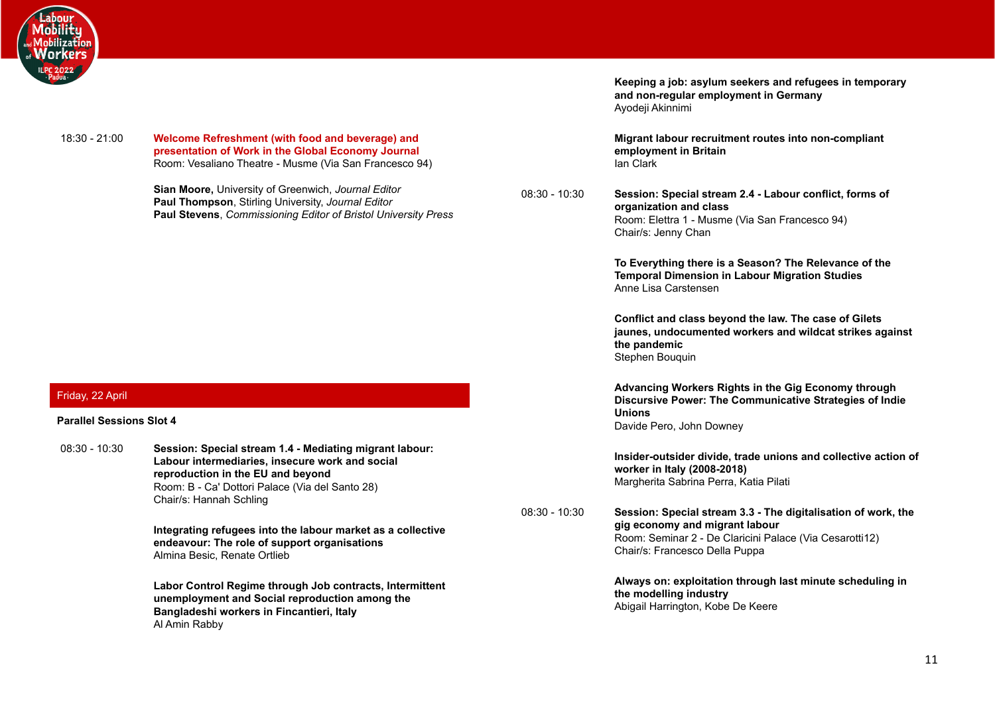

18:30 - 21:00 **Welcome Refreshment (with food and beverage) and presentation of Work in the Global Economy Journal** Room: Vesaliano Theatre - Musme (Via San Francesco 94)

> <span id="page-10-0"></span>**Sian Moore,** University of Greenwich, *Journal Editor* **Paul Thompson**, Stirling University, *Journal Editor* **Paul Stevens**, *Commissioning Editor of Bristol University Press*

<span id="page-10-1"></span>Friday, 22 April

#### <span id="page-10-2"></span>**Parallel Sessions Slot 4**

08:30 - 10:30 **Session: Special stream 1.4 - Mediating migrant labour: Labour intermediaries, insecure work and social reproduction in the EU and beyond** Room: B - Ca' Dottori Palace (Via del Santo 28) Chair/s: Hannah Schling

> **Integrating refugees into the labour market as a collective endeavour: The role of support organisations** Almina Besic, Renate Ortlieb

> **Labor Control Regime through Job contracts, Intermittent unemployment and Social reproduction among the Bangladeshi workers in Fincantieri, Italy** Al Amin Rabby

**Keeping a job: asylum seekers and refugees in temporary and non-regular employment in Germany** Ayodeji Akinnimi

**Migrant labour recruitment routes into non-compliant employment in Britain** Ian Clark

08:30 - 10:30 **Session: Special stream 2.4 - Labour conflict, forms of organization and class** Room: Elettra 1 - Musme (Via San Francesco 94) Chair/s: Jenny Chan

> **To Everything there is a Season? The Relevance of the Temporal Dimension in Labour Migration Studies** Anne Lisa Carstensen

**Conflict and class beyond the law. The case of Gilets jaunes, undocumented workers and wildcat strikes against the pandemic** Stephen Bouquin

**Advancing Workers Rights in the Gig Economy through Discursive Power: The Communicative Strategies of Indie Unions** Davide Pero, John Downey

**Insider-outsider divide, trade unions and collective action of worker in Italy (2008-2018)** Margherita Sabrina Perra, Katia Pilati

08:30 - 10:30 **Session: Special stream 3.3 - The digitalisation of work, the gig economy and migrant labour** Room: Seminar 2 - De Claricini Palace (Via Cesarotti12) Chair/s: Francesco Della Puppa

> **Always on: exploitation through last minute scheduling in the modelling industry** Abigail Harrington, Kobe De Keere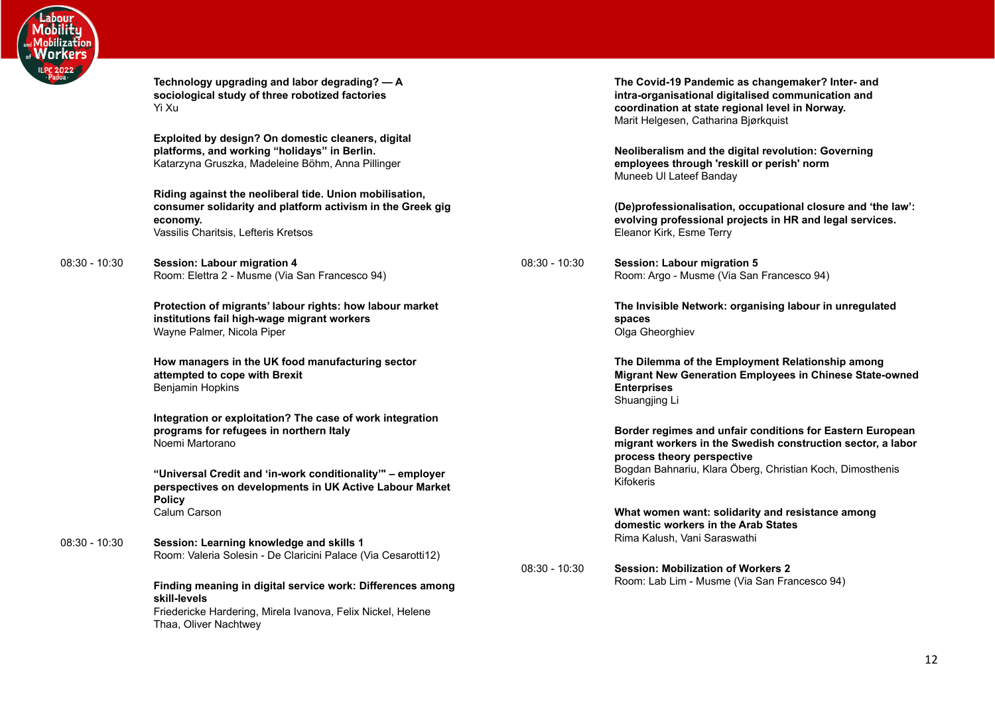

**Technology upgrading and labor degrading? — A sociological study of three robotized factories** Yi Xu

**Exploited by design? On domestic cleaners, digital platforms, and working "holidays" in Berlin.** Katarzyna Gruszka, Madeleine Böhm, Anna Pillinger

**Riding against the neoliberal tide. Union mobilisation, consumer solidarity and platform activism in the Greek gig economy.** Vassilis Charitsis, Lefteris Kretsos

08:30 - 10:30 **Session: Labour migration 4** Room: Elettra 2 - Musme (Via San Francesco 94)

> **Protection of migrants' labour rights: how labour market institutions fail high-wage migrant workers** Wayne Palmer, Nicola Piper

**How managers in the UK food manufacturing sector attempted to cope with Brexit** Benjamin Hopkins

**Integration or exploitation? The case of work integration programs for refugees in northern Italy** Noemi Martorano

**"Universal Credit and 'in-work conditionality'" – employer perspectives on developments in UK Active Labour Market Policy** Calum Carson

08:30 - 10:30 **Session: Learning knowledge and skills 1** Room: Valeria Solesin - De Claricini Palace (Via Cesarotti12)

> **Finding meaning in digital service work: Differences among skill-levels** Friedericke Hardering, Mirela Ivanova, Felix Nickel, Helene Thaa, Oliver Nachtwey

**The Covid-19 Pandemic as changemaker? Inter- and intra-organisational digitalised communication and coordination at state regional level in Norway.** Marit Helgesen, Catharina Bjørkquist

**Neoliberalism and the digital revolution: Governing employees through 'reskill or perish' norm** Muneeb Ul Lateef Banday

**(De)professionalisation, occupational closure and 'the law': evolving professional projects in HR and legal services.** Eleanor Kirk, Esme Terry

08:30 - 10:30 **Session: Labour migration 5** Room: Argo - Musme (Via San Francesco 94)

> **The Invisible Network: organising labour in unregulated spaces** Olga Gheorghiev

**The Dilemma of the Employment Relationship among Migrant New Generation Employees in Chinese State-owned Enterprises** Shuangjing Li

**Border regimes and unfair conditions for Eastern European migrant workers in the Swedish construction sector, a labor process theory perspective** Bogdan Bahnariu, Klara Öberg, Christian Koch, Dimosthenis Kifokeris

**What women want: solidarity and resistance among domestic workers in the Arab States** Rima Kalush, Vani Saraswathi

08:30 - 10:30 **Session: Mobilization of Workers 2** Room: Lab Lim - Musme (Via San Francesco 94)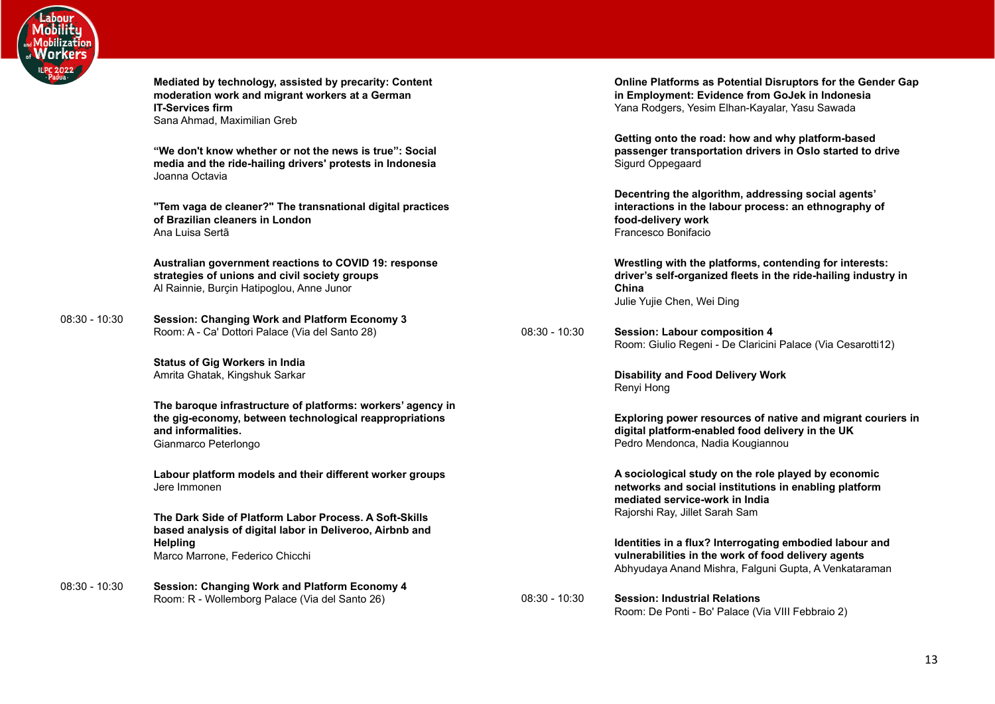

**Mediated by technology, assisted by precarity: Content moderation work and migrant workers at a German IT-Services firm** Sana Ahmad, Maximilian Greb

**"We don't know whether or not the news is true": Social media and the ride-hailing drivers' protests in Indonesia** Joanna Octavia

**"Tem vaga de cleaner?" The transnational digital practices of Brazilian cleaners in London** Ana Luisa Sertã

**Australian government reactions to COVID 19: response strategies of unions and civil society groups** Al Rainnie, Burcin Hatipoglou, Anne Junor

08:30 - 10:30 **Session: Changing Work and Platform Economy 3** Room: A - Ca' Dottori Palace (Via del Santo 28)

> **Status of Gig Workers in India** Amrita Ghatak, Kingshuk Sarkar

**The baroque infrastructure of platforms: workers' agency in the gig-economy, between technological reappropriations and informalities.** Gianmarco Peterlongo

**Labour platform models and their different worker groups** Jere Immonen

**The Dark Side of Platform Labor Process. A Soft-Skills based analysis of digital labor in Deliveroo, Airbnb and Helpling** Marco Marrone, Federico Chicchi

08:30 - 10:30 **Session: Changing Work and Platform Economy 4** Room: R - Wollemborg Palace (Via del Santo 26)

**Online Platforms as Potential Disruptors for the Gender Gap in Employment: Evidence from GoJek in Indonesia** Yana Rodgers, Yesim Elhan-Kayalar, Yasu Sawada

**Getting onto the road: how and why platform-based passenger transportation drivers in Oslo started to drive** Sigurd Oppegaard

**Decentring the algorithm, addressing social agents' interactions in the labour process: an ethnography of food-delivery work** Francesco Bonifacio

**Wrestling with the platforms, contending for interests: driver's self-organized fleets in the ride-hailing industry in China** Julie Yujie Chen, Wei Ding

08:30 - 10:30 **Session: Labour composition 4** Room: Giulio Regeni - De Claricini Palace (Via Cesarotti12)

> **Disability and Food Delivery Work** Renyi Hong

**Exploring power resources of native and migrant couriers in digital platform-enabled food delivery in the UK** Pedro Mendonca, Nadia Kougiannou

**A sociological study on the role played by economic networks and social institutions in enabling platform mediated service-work in India** Rajorshi Ray, Jillet Sarah Sam

**Identities in a flux? Interrogating embodied labour and vulnerabilities in the work of food delivery agents** Abhyudaya Anand Mishra, Falguni Gupta, A Venkataraman

08:30 - 10:30 **Session: Industrial Relations** Room: De Ponti - Bo' Palace (Via VIII Febbraio 2)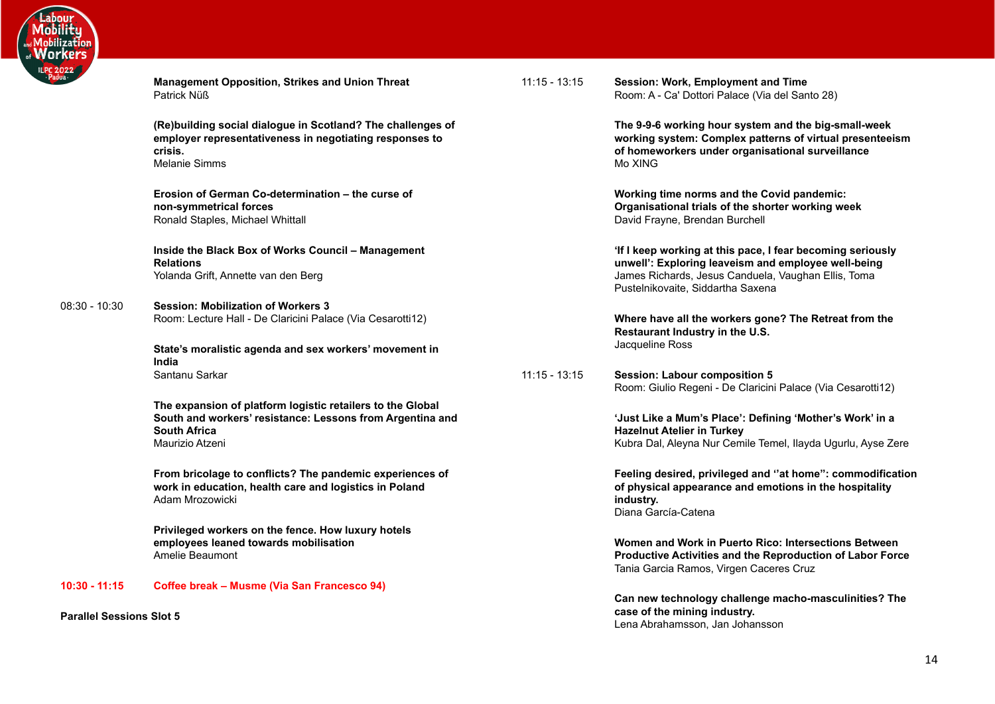

**Management Opposition, Strikes and Union Threat** Patrick Nüß **(Re)building social dialogue in Scotland? The challenges of**

**employer representativeness in negotiating responses to crisis.** Melanie Simms

**Erosion of German Co-determination – the curse of non-symmetrical forces** Ronald Staples, Michael Whittall

**Inside the Black Box of Works Council – Management Relations** Yolanda Grift, Annette van den Berg

08:30 - 10:30 **Session: Mobilization of Workers 3** Room: Lecture Hall - De Claricini Palace (Via Cesarotti12)

> **State's moralistic agenda and sex workers' movement in India** Santanu Sarkar

**The expansion of platform logistic retailers to the Global South and workers' resistance: Lessons from Argentina and South Africa** Maurizio Atzeni

**From bricolage to conflicts? The pandemic experiences of work in education, health care and logistics in Poland** Adam Mrozowicki

**Privileged workers on the fence. How luxury hotels employees leaned towards mobilisation** Amelie Beaumont

**10:30 - 11:15 Coffee break – Musme (Via San Francesco 94)**

<span id="page-13-0"></span>**Parallel Sessions Slot 5**

11:15 - 13:15 **Session: Work, Employment and Time** Room: A - Ca' Dottori Palace (Via del Santo 28)

> **The 9-9-6 working hour system and the big-small-week working system: Complex patterns of virtual presenteeism of homeworkers under organisational surveillance** Mo XING

**Working time norms and the Covid pandemic: Organisational trials of the shorter working week** David Frayne, Brendan Burchell

**'If I keep working at this pace, I fear becoming seriously unwell': Exploring leaveism and employee well-being** James Richards, Jesus Canduela, Vaughan Ellis, Toma Pustelnikovaite, Siddartha Saxena

**Where have all the workers gone? The Retreat from the Restaurant Industry in the U.S.** Jacqueline Ross

11:15 - 13:15 **Session: Labour composition 5** Room: Giulio Regeni - De Claricini Palace (Via Cesarotti12)

> **'Just Like a Mum's Place': Defining 'Mother's Work' in a Hazelnut Atelier in Turkey** Kubra Dal, Aleyna Nur Cemile Temel, Ilayda Ugurlu, Ayse Zere

**Feeling desired, privileged and ''at home'': commodification of physical appearance and emotions in the hospitality industry.** Diana García-Catena

**Women and Work in Puerto Rico: Intersections Between Productive Activities and the Reproduction of Labor Force** Tania Garcia Ramos, Virgen Caceres Cruz

**Can new technology challenge macho-masculinities? The case of the mining industry.** Lena Abrahamsson, Jan Johansson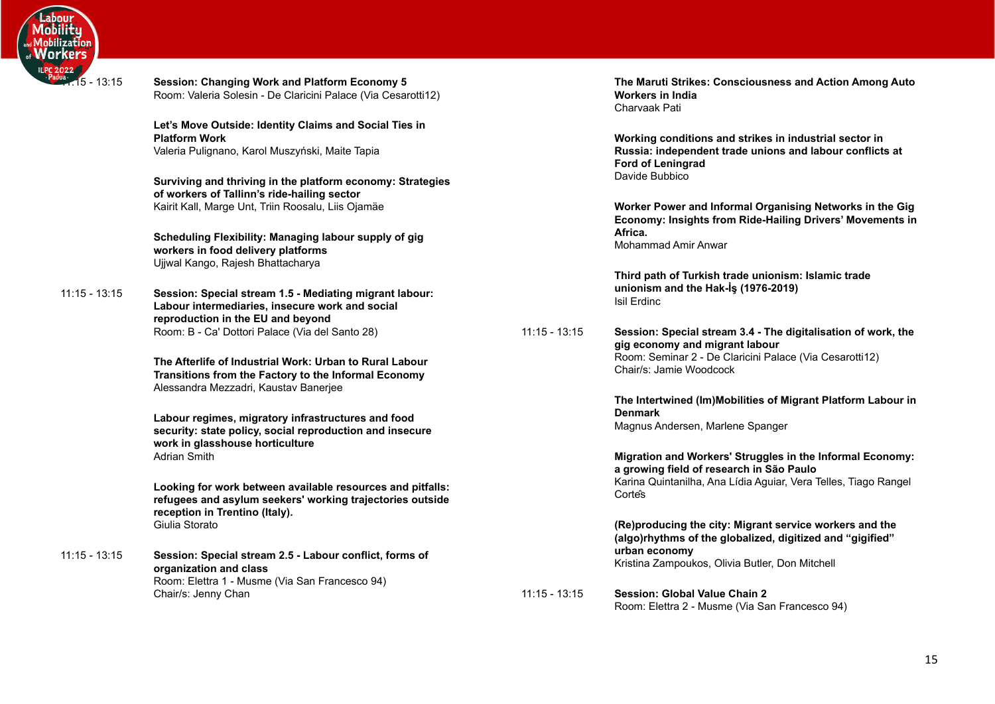

| - 13:15         | <b>Session: Changing Work and Platform Economy 5</b><br>Room: Valeria Solesin - De Claricini Palace (Via Cesarotti12)                                     |                 | The Maruti Strikes: Consciousness and Action Among Auto<br><b>Workers in India</b><br>Charvaak Pati                   |
|-----------------|-----------------------------------------------------------------------------------------------------------------------------------------------------------|-----------------|-----------------------------------------------------------------------------------------------------------------------|
|                 | Let's Move Outside: Identity Claims and Social Ties in<br><b>Platform Work</b>                                                                            |                 | Working conditions and strikes in industrial sector in                                                                |
|                 | Valeria Pulignano, Karol Muszyński, Maite Tapia                                                                                                           |                 | Russia: independent trade unions and labour conflicts at<br>Ford of Leningrad                                         |
|                 | Surviving and thriving in the platform economy: Strategies<br>of workers of Tallinn's ride-hailing sector                                                 |                 | Davide Bubbico                                                                                                        |
|                 | Kairit Kall, Marge Unt, Triin Roosalu, Liis Ojamäe                                                                                                        |                 | Worker Power and Informal Organising Networks in the Gig<br>Economy: Insights from Ride-Hailing Drivers' Movements in |
|                 | Scheduling Flexibility: Managing labour supply of gig<br>workers in food delivery platforms<br>Ujjwal Kango, Rajesh Bhattacharya                          |                 | Africa.<br>Mohammad Amir Anwar                                                                                        |
| $11:15 - 13:15$ | Session: Special stream 1.5 - Mediating migrant labour:                                                                                                   |                 | Third path of Turkish trade unionism: Islamic trade<br>unionism and the Hak-İş (1976-2019)                            |
|                 | Labour intermediaries, insecure work and social<br>reproduction in the EU and beyond                                                                      |                 | Isil Erdinc                                                                                                           |
|                 | Room: B - Ca' Dottori Palace (Via del Santo 28)                                                                                                           | $11:15 - 13:15$ | Session: Special stream 3.4 - The digitalisation of work, the<br>gig economy and migrant labour                       |
|                 | The Afterlife of Industrial Work: Urban to Rural Labour<br>Transitions from the Factory to the Informal Economy<br>Alessandra Mezzadri, Kaustav Banerjee  |                 | Room: Seminar 2 - De Claricini Palace (Via Cesarotti12)<br>Chair/s: Jamie Woodcock                                    |
|                 | Labour regimes, migratory infrastructures and food                                                                                                        |                 | The Intertwined (Im)Mobilities of Migrant Platform Labour in<br><b>Denmark</b>                                        |
|                 | security: state policy, social reproduction and insecure<br>work in glasshouse horticulture                                                               |                 | Magnus Andersen, Marlene Spanger                                                                                      |
|                 | <b>Adrian Smith</b>                                                                                                                                       |                 | Migration and Workers' Struggles in the Informal Economy:<br>a growing field of research in São Paulo                 |
|                 | Looking for work between available resources and pitfalls:<br>refugees and asylum seekers' working trajectories outside<br>reception in Trentino (Italy). |                 | Karina Quintanilha, Ana Lídia Aguiar, Vera Telles, Tiago Rangel<br>Corte's                                            |
|                 | Giulia Storato                                                                                                                                            |                 | (Re)producing the city: Migrant service workers and the<br>(algo)rhythms of the globalized, digitized and "gigified"  |
| $11:15 - 13:15$ | Session: Special stream 2.5 - Labour conflict, forms of<br>organization and class                                                                         |                 | urban economy<br>Kristina Zampoukos, Olivia Butler, Don Mitchell                                                      |
|                 | Room: Elettra 1 - Musme (Via San Francesco 94)<br>Chair/s: Jenny Chan                                                                                     | $11:15 - 13:15$ | <b>Session: Global Value Chain 2</b><br>Room: Elettra 2 - Musme (Via San Francesco 94)                                |
|                 |                                                                                                                                                           |                 |                                                                                                                       |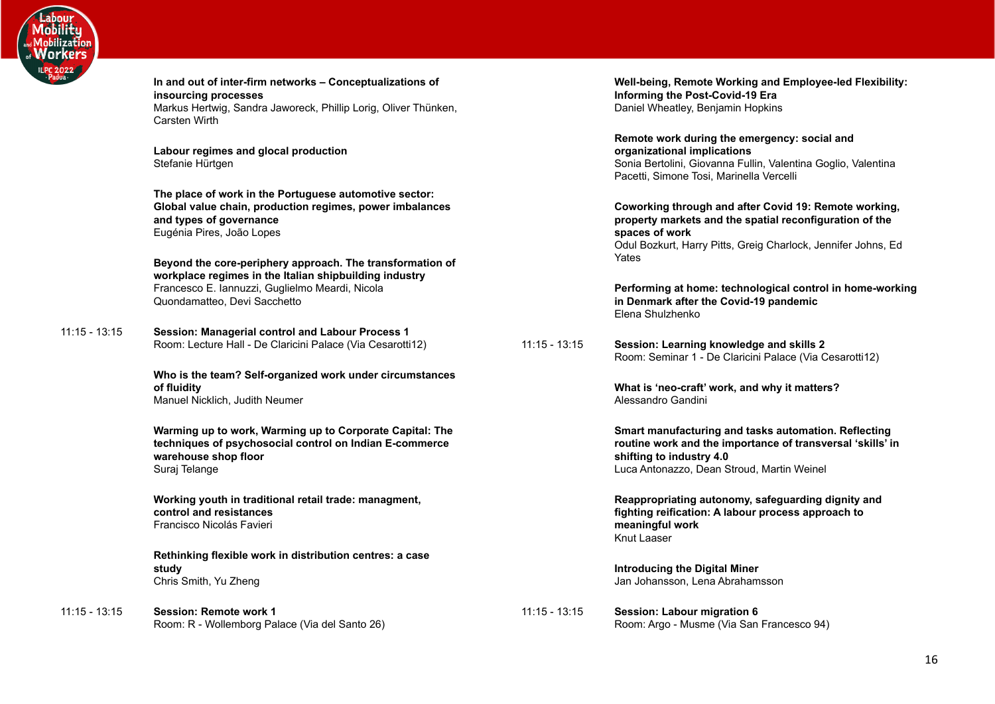

11:15 - 13:15 **Session: Managerial control and Labour Process 1**

11:15 - 13:15 **Session: Remote work 1**

| In and out of inter-firm networks - Conceptualizations of<br>insourcing processes<br>Markus Hertwig, Sandra Jaworeck, Phillip Lorig, Oliver Thünken,<br>Carsten Wirth                                  |                 | Well-being, Remote Working and Employee-led Flexibility:<br>Informing the Post-Covid-19 Era<br>Daniel Wheatley, Benjamin Hopkins                                                                             |
|--------------------------------------------------------------------------------------------------------------------------------------------------------------------------------------------------------|-----------------|--------------------------------------------------------------------------------------------------------------------------------------------------------------------------------------------------------------|
| Labour regimes and glocal production<br>Stefanie Hürtgen                                                                                                                                               |                 | Remote work during the emergency: social and<br>organizational implications<br>Sonia Bertolini, Giovanna Fullin, Valentina Goglio, Valentina<br>Pacetti, Simone Tosi, Marinella Vercelli                     |
| The place of work in the Portuguese automotive sector:<br>Global value chain, production regimes, power imbalances<br>and types of governance<br>Eugénia Pires, João Lopes                             |                 | Coworking through and after Covid 19: Remote working,<br>property markets and the spatial reconfiguration of the<br>spaces of work<br>Odul Bozkurt, Harry Pitts, Greig Charlock, Jennifer Johns, Ed<br>Yates |
| Beyond the core-periphery approach. The transformation of<br>workplace regimes in the Italian shipbuilding industry<br>Francesco E. Iannuzzi, Guglielmo Meardi, Nicola<br>Quondamatteo, Devi Sacchetto |                 | Performing at home: technological control in home-working<br>in Denmark after the Covid-19 pandemic<br>Elena Shulzhenko                                                                                      |
| Session: Managerial control and Labour Process 1<br>Room: Lecture Hall - De Claricini Palace (Via Cesarotti12)                                                                                         | $11:15 - 13:15$ | Session: Learning knowledge and skills 2<br>Room: Seminar 1 - De Claricini Palace (Via Cesarotti12)                                                                                                          |
| Who is the team? Self-organized work under circumstances<br>of fluidity<br>Manuel Nicklich, Judith Neumer                                                                                              |                 | What is 'neo-craft' work, and why it matters?<br>Alessandro Gandini                                                                                                                                          |
| Warming up to work, Warming up to Corporate Capital: The<br>techniques of psychosocial control on Indian E-commerce<br>warehouse shop floor<br>Suraj Telange                                           |                 | Smart manufacturing and tasks automation. Reflecting<br>routine work and the importance of transversal 'skills' in<br>shifting to industry 4.0<br>Luca Antonazzo, Dean Stroud, Martin Weinel                 |
| Working youth in traditional retail trade: managment,<br>control and resistances<br>Francisco Nicolás Favieri                                                                                          |                 | Reappropriating autonomy, safeguarding dignity and<br>fighting reification: A labour process approach to<br>meaningful work<br>Knut Laaser                                                                   |
| Rethinking flexible work in distribution centres: a case<br>study<br>Chris Smith, Yu Zheng                                                                                                             |                 | Introducing the Digital Miner<br>Jan Johansson, Lena Abrahamsson                                                                                                                                             |
| Session: Remote work 1<br>Room: R - Wollemborg Palace (Via del Santo 26)                                                                                                                               | $11:15 - 13:15$ | Session: Labour migration 6<br>Room: Argo - Musme (Via San Francesco 94)                                                                                                                                     |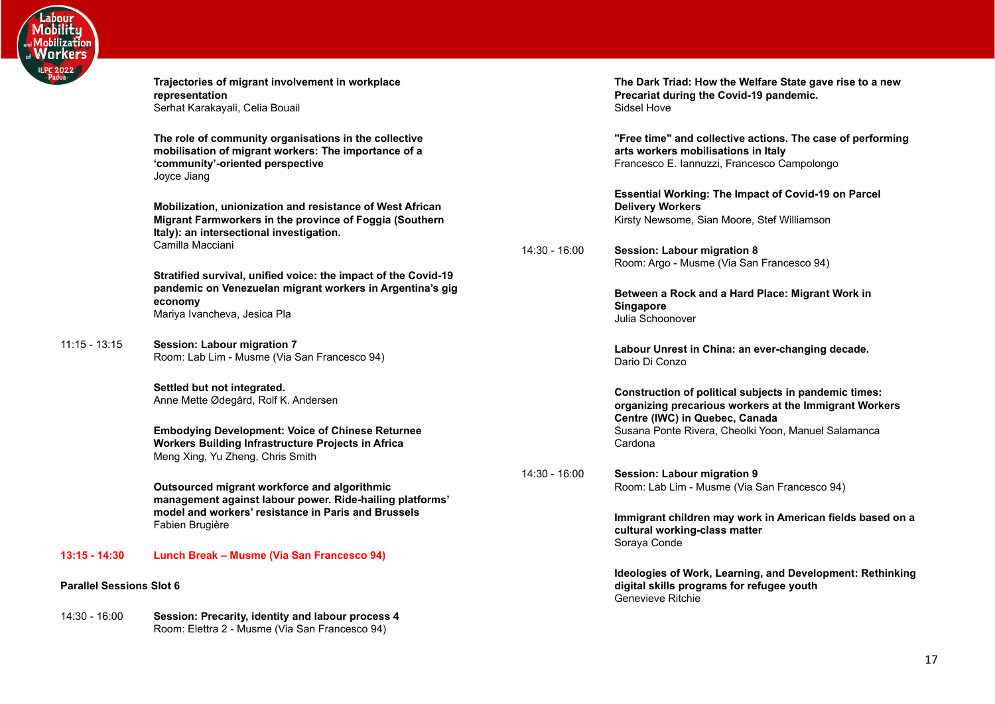

<span id="page-16-0"></span>

|                                 | Trajectories of migrant involvement in workplace<br>representation<br>Serhat Karakayali, Celia Bouail                                                                  |               | The Dark Triad: How the Welfare State gave rise to a new<br>Precariat during the Covid-19 pandemic.<br>Sidsel Hove                                |
|---------------------------------|------------------------------------------------------------------------------------------------------------------------------------------------------------------------|---------------|---------------------------------------------------------------------------------------------------------------------------------------------------|
|                                 | The role of community organisations in the collective<br>mobilisation of migrant workers: The importance of a<br>'community'-oriented perspective<br>Joyce Jiang       |               | "Free time" and collective actions. The case of performing<br>arts workers mobilisations in Italy<br>Francesco E. Iannuzzi, Francesco Campolongo  |
|                                 | Mobilization, unionization and resistance of West African<br>Migrant Farmworkers in the province of Foggia (Southern<br>Italy): an intersectional investigation.       |               | <b>Essential Working: The Impact of Covid-19 on Parcel</b><br><b>Delivery Workers</b><br>Kirsty Newsome, Sian Moore, Stef Williamson              |
|                                 | Camilla Macciani                                                                                                                                                       | 14:30 - 16:00 | <b>Session: Labour migration 8</b><br>Room: Argo - Musme (Via San Francesco 94)                                                                   |
|                                 | Stratified survival, unified voice: the impact of the Covid-19<br>pandemic on Venezuelan migrant workers in Argentina's gig<br>economy<br>Mariya Ivancheva, Jesica Pla |               | Between a Rock and a Hard Place: Migrant Work in<br>Singapore<br>Julia Schoonover                                                                 |
| $11:15 - 13:15$                 | Session: Labour migration 7<br>Room: Lab Lim - Musme (Via San Francesco 94)                                                                                            |               | Labour Unrest in China: an ever-changing decade.<br>Dario Di Conzo                                                                                |
|                                 | Settled but not integrated.<br>Anne Mette Ødegård, Rolf K. Andersen                                                                                                    |               | Construction of political subjects in pandemic times:<br>organizing precarious workers at the Immigrant Workers<br>Centre (IWC) in Quebec, Canada |
|                                 | <b>Embodying Development: Voice of Chinese Returnee</b><br>Workers Building Infrastructure Projects in Africa<br>Meng Xing, Yu Zheng, Chris Smith                      |               | Susana Ponte Rivera, Cheolki Yoon, Manuel Salamanca<br>Cardona                                                                                    |
|                                 | Outsourced migrant workforce and algorithmic<br>management against labour power. Ride-hailing platforms'                                                               | 14:30 - 16:00 | Session: Labour migration 9<br>Room: Lab Lim - Musme (Via San Francesco 94)                                                                       |
|                                 | model and workers' resistance in Paris and Brussels<br>Fabien Brugière                                                                                                 |               | Immigrant children may work in American fields based on a<br>cultural working-class matter<br>Soraya Conde                                        |
| $13:15 - 14:30$                 | Lunch Break - Musme (Via San Francesco 94)                                                                                                                             |               |                                                                                                                                                   |
| <b>Parallel Sessions Slot 6</b> |                                                                                                                                                                        |               | Ideologies of Work, Learning, and Development: Rethinking<br>digital skills programs for refugee youth<br>Genevieve Ritchie                       |
| 14:30 - 16:00                   | Session: Precarity, identity and labour process 4<br>Room: Elettra 2 - Musme (Via San Francesco 94)                                                                    |               |                                                                                                                                                   |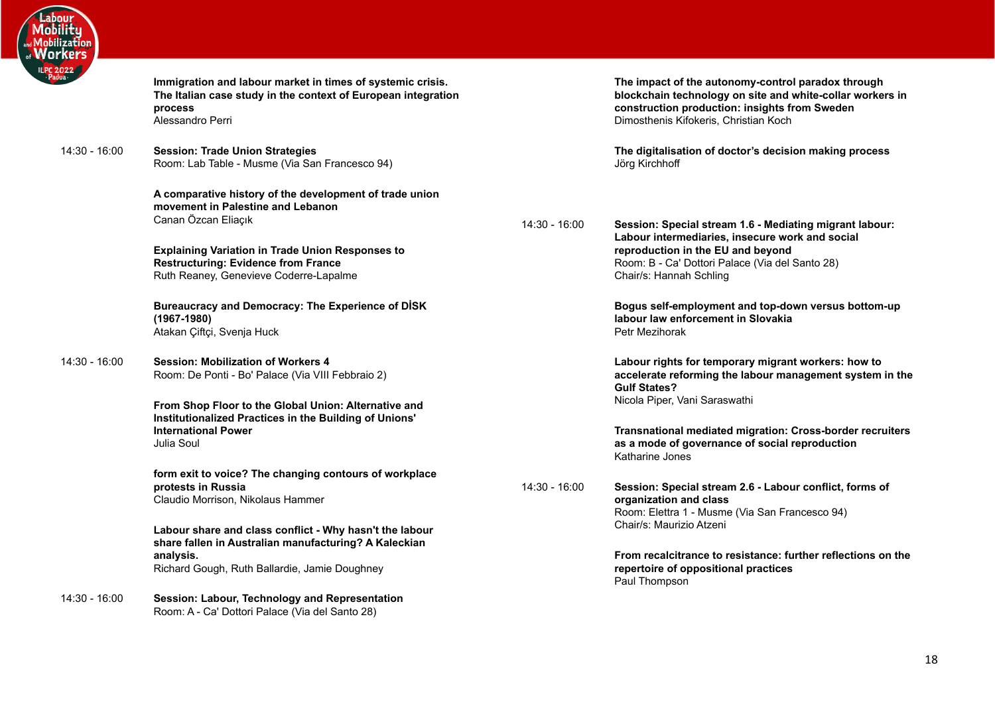

| $\frac{022}{\sqrt{10}}$ | Immigration and labour market in times of systemic crisis.<br>The Italian case study in the context of European integration<br>process<br>Alessandro Perri                     |      |
|-------------------------|--------------------------------------------------------------------------------------------------------------------------------------------------------------------------------|------|
| $14:30 - 16:00$         | <b>Session: Trade Union Strategies</b><br>Room: Lab Table - Musme (Via San Francesco 94)                                                                                       |      |
|                         | A comparative history of the development of trade union<br>movement in Palestine and Lebanon<br>Canan Özcan Eliaçık                                                            | 14:3 |
|                         | <b>Explaining Variation in Trade Union Responses to</b><br><b>Restructuring: Evidence from France</b><br>Ruth Reaney, Genevieve Coderre-Lapalme                                |      |
|                         | <b>Bureaucracy and Democracy: The Experience of DISK</b><br>$(1967 - 1980)$<br>Atakan Çiftçi, Svenja Huck                                                                      |      |
| $14:30 - 16:00$         | <b>Session: Mobilization of Workers 4</b><br>Room: De Ponti - Bo' Palace (Via VIII Febbraio 2)                                                                                 |      |
|                         | From Shop Floor to the Global Union: Alternative and<br>Institutionalized Practices in the Building of Unions'<br><b>International Power</b><br>Julia Soul                     |      |
|                         | form exit to voice? The changing contours of workplace<br>protests in Russia<br>Claudio Morrison, Nikolaus Hammer                                                              | 14:3 |
|                         | Labour share and class conflict - Why hasn't the labour<br>share fallen in Australian manufacturing? A Kaleckian<br>analysis.<br>Richard Gough, Ruth Ballardie, Jamie Doughney |      |
| $14:30 - 16:00$         | Session: Labour, Technology and Representation<br>Room: A - Ca' Dottori Palace (Via del Santo 28)                                                                              |      |

**The impact of the autonomy-control paradox through blockchain technology on site and white-collar workers in construction production: insights from Sweden** Dimosthenis Kifokeris, Christian Koch

**The digitalisation of doctor's decision making process** Jörg Kirchhoff

14:30 - 16:00 **Session: Special stream 1.6 - Mediating migrant labour: Labour intermediaries, insecure work and social reproduction in the EU and beyond** Room: B - Ca' Dottori Palace (Via del Santo 28) Chair/s: Hannah Schling

> **Bogus self-employment and top-down versus bottom-up labour law enforcement in Slovakia** Petr Mezihorak

**Labour rights for temporary migrant workers: how to accelerate reforming the labour management system in the Gulf States?** Nicola Piper, Vani Saraswathi

**Transnational mediated migration: Cross-border recruiters as a mode of governance of social reproduction** Katharine Jones

14:30 - 16:00 **Session: Special stream 2.6 - Labour conflict, forms of organization and class** Room: Elettra 1 - Musme (Via San Francesco 94) Chair/s: Maurizio Atzeni

> **From recalcitrance to resistance: further reflections on the repertoire of oppositional practices** Paul Thompson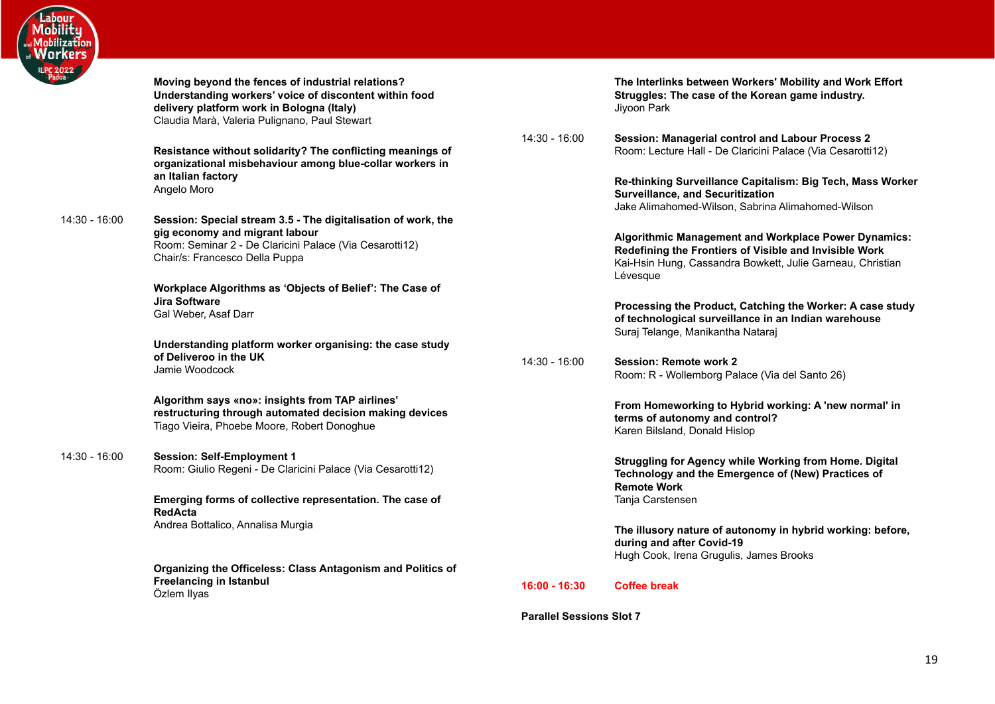

| $\frac{1022}{\sqrt{2}}$ | Moving beyond the fences of industrial relations?<br>Understanding workers' voice of discontent within food<br>delivery platform work in Bologna (Italy)<br>Claudia Marà, Valeria Pulignano, Paul Stewart |                 | <b>The Interlin</b><br>Struggles:<br>Jiyoon Park           |
|-------------------------|-----------------------------------------------------------------------------------------------------------------------------------------------------------------------------------------------------------|-----------------|------------------------------------------------------------|
|                         | Resistance without solidarity? The conflicting meanings of<br>organizational misbehaviour among blue-collar workers in                                                                                    | 14:30 - 16:00   | <b>Session: M</b><br>Room: Lectu                           |
|                         | an Italian factory<br>Angelo Moro                                                                                                                                                                         |                 | <b>Re-thinking</b><br><b>Surveillanc</b><br>Jake Alimah    |
| 14:30 - 16:00           | Session: Special stream 3.5 - The digitalisation of work, the                                                                                                                                             |                 |                                                            |
|                         | gig economy and migrant labour<br>Room: Seminar 2 - De Claricini Palace (Via Cesarotti12)<br>Chair/s: Francesco Della Puppa                                                                               |                 | Algorithmic<br>Redefining<br>Kai-Hsin Hu<br>Lévesque       |
|                         | Workplace Algorithms as 'Objects of Belief': The Case of                                                                                                                                                  |                 |                                                            |
|                         | <b>Jira Software</b><br>Gal Weber, Asaf Darr                                                                                                                                                              |                 | Processing<br>of technolo<br>Suraj Telang                  |
|                         | Understanding platform worker organising: the case study                                                                                                                                                  |                 |                                                            |
|                         | of Deliveroo in the UK<br>Jamie Woodcock                                                                                                                                                                  | 14:30 - 16:00   | Session: Ro<br>Room: R - V                                 |
|                         | Algorithm says «no»: insights from TAP airlines'<br>restructuring through automated decision making devices<br>Tiago Vieira, Phoebe Moore, Robert Donoghue                                                |                 | <b>From Home</b><br>terms of au<br>Karen Bilsla            |
| 14:30 - 16:00           | <b>Session: Self-Employment 1</b><br>Room: Giulio Regeni - De Claricini Palace (Via Cesarotti12)                                                                                                          |                 | <b>Struggling</b><br><b>Technology</b><br><b>Remote Wo</b> |
|                         | Emerging forms of collective representation. The case of<br><b>RedActa</b>                                                                                                                                |                 | Tanja Carste                                               |
|                         | Andrea Bottalico, Annalisa Murgia                                                                                                                                                                         |                 | The illusory<br>during and<br>Hugh Cook,                   |
|                         | Organizing the Officeless: Class Antagonism and Politics of<br><b>Freelancing in Istanbul</b>                                                                                                             | $16:00 - 16:30$ | <b>Coffee brea</b>                                         |
|                         | Özlem Ilyas                                                                                                                                                                                               |                 |                                                            |

**The Interate Interling Setuber Intererate Setuber Interpret** The case of the Korean game industry.

**Managerial control and Labour Process 2** ure Hall - De Claricini Palace (Via Cesarotti12)

> **Re-thinking Surveillance Capitalism: Big Tech, Mass Worker Surveillance, and Securitization** homed-Wilson, Sabrina Alimahomed-Wilson

**C** Management and Workplace Power Dynamics: **Redefining the Frontiers of Visible and Invisible Work** ung, Cassandra Bowkett, Julie Garneau, Christian

**Processing the Product, Catching the Worker: A case study of technological surveillance in an Indian warehouse** ge, Manikantha Nataraj

emote work 2<sup></sup> Wollemborg Palace (Via del Santo 26)

> **From Homeworking to Hybrid working: A 'new normal' in utonomy and control?** and, Donald Hislop

for Agency while Working from Home. Digital **y** and the Emergence of (New) Practices of **Remote Work** ensen

**The illusor is incorded in the index** of autonomy in hybrid working: before, **after Covid-19** Irena Grugulis, James Brooks

**16:00 - 16:30 Coffee break**

<span id="page-18-0"></span>**Parallel Sessions Slot 7**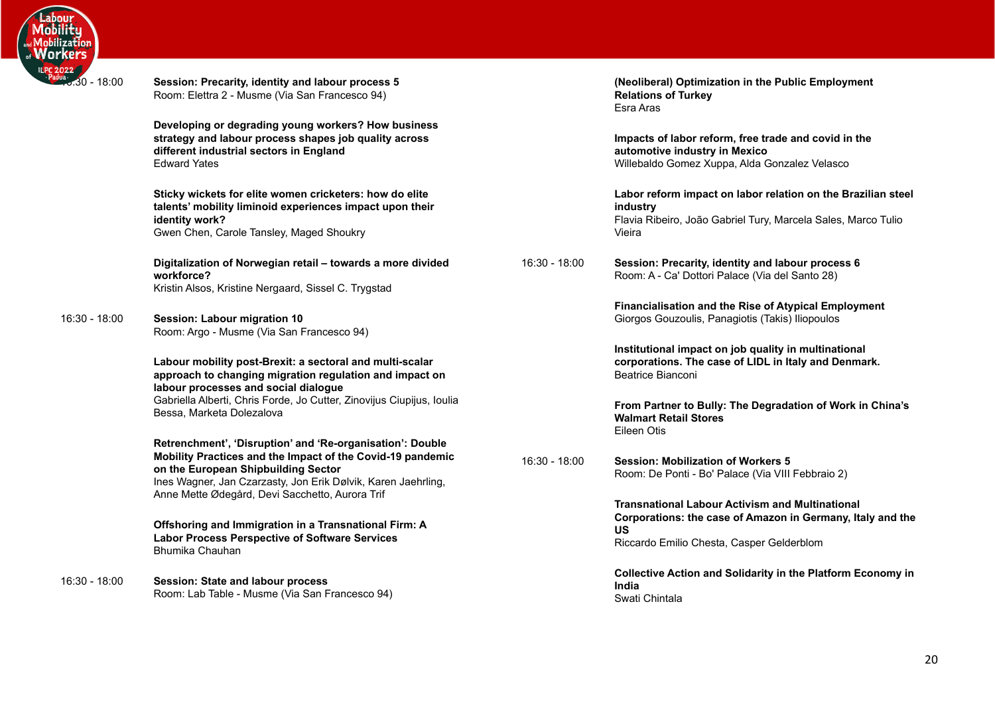

| $\frac{100}{100}$ 30 - 18:00 | Session: Precarity, identity and labour process 5<br>Room: Elettra 2 - Musme (Via San Francesco 94)                                                                                                                             |               | (Neoliberal) Optimization in the Public Employment<br><b>Relations of Turkey</b><br>Esra Aras                                                                                  |
|------------------------------|---------------------------------------------------------------------------------------------------------------------------------------------------------------------------------------------------------------------------------|---------------|--------------------------------------------------------------------------------------------------------------------------------------------------------------------------------|
|                              | Developing or degrading young workers? How business<br>strategy and labour process shapes job quality across<br>different industrial sectors in England<br><b>Edward Yates</b>                                                  |               | Impacts of labor reform, free trade and covid in the<br>automotive industry in Mexico<br>Willebaldo Gomez Xuppa, Alda Gonzalez Velasco                                         |
|                              | Sticky wickets for elite women cricketers: how do elite<br>talents' mobility liminoid experiences impact upon their<br>identity work?<br>Gwen Chen, Carole Tansley, Maged Shoukry                                               |               | Labor reform impact on labor relation on the Brazilian steel<br>industry<br>Flavia Ribeiro, João Gabriel Tury, Marcela Sales, Marco Tulio<br>Vieira                            |
|                              | Digitalization of Norwegian retail - towards a more divided<br>workforce?<br>Kristin Alsos, Kristine Nergaard, Sissel C. Trygstad                                                                                               | 16:30 - 18:00 | Session: Precarity, identity and labour process 6<br>Room: A - Ca' Dottori Palace (Via del Santo 28)                                                                           |
| 16:30 - 18:00                | Session: Labour migration 10<br>Room: Argo - Musme (Via San Francesco 94)                                                                                                                                                       |               | Financialisation and the Rise of Atypical Employment<br>Giorgos Gouzoulis, Panagiotis (Takis) Iliopoulos                                                                       |
|                              | Labour mobility post-Brexit: a sectoral and multi-scalar<br>approach to changing migration regulation and impact on<br>labour processes and social dialogue                                                                     |               | Institutional impact on job quality in multinational<br>corporations. The case of LIDL in Italy and Denmark.<br>Beatrice Bianconi                                              |
|                              | Gabriella Alberti, Chris Forde, Jo Cutter, Zinovijus Ciupijus, Ioulia<br>Bessa, Marketa Dolezalova                                                                                                                              |               | From Partner to Bully: The Degradation of Work in China's<br><b>Walmart Retail Stores</b><br>Eileen Otis                                                                       |
|                              | Retrenchment', 'Disruption' and 'Re-organisation': Double<br>Mobility Practices and the Impact of the Covid-19 pandemic<br>on the European Shipbuilding Sector<br>Ines Wagner, Jan Czarzasty, Jon Erik Dølvik, Karen Jaehrling, | 16:30 - 18:00 | <b>Session: Mobilization of Workers 5</b><br>Room: De Ponti - Bo' Palace (Via VIII Febbraio 2)                                                                                 |
|                              | Anne Mette Ødegård, Devi Sacchetto, Aurora Trif<br>Offshoring and Immigration in a Transnational Firm: A<br><b>Labor Process Perspective of Software Services</b><br>Bhumika Chauhan                                            |               | <b>Transnational Labour Activism and Multinational</b><br>Corporations: the case of Amazon in Germany, Italy and the<br><b>US</b><br>Riccardo Emilio Chesta, Casper Gelderblom |
| 16:30 - 18:00                | Session: State and labour process<br>Room: Lab Table - Musme (Via San Francesco 94)                                                                                                                                             |               | <b>Collective Action and Solidarity in the Platform Economy in</b><br>India<br>Swati Chintala                                                                                  |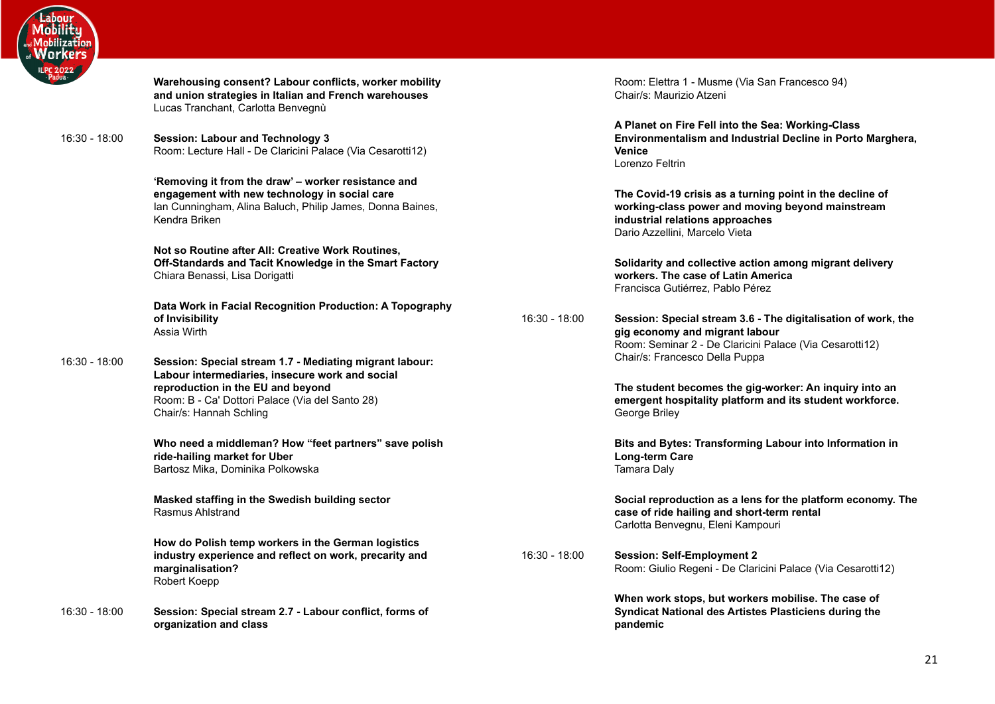

**Warehousing consent? Labour conflicts, worker mobility and union strategies in Italian and French warehouses** Lucas Tranchant, Carlotta Benvegnù 16:30 - 18:00 **Session: Labour and Technology 3** Room: Lecture Hall - De Claricini Palace (Via Cesarotti12) **'Removing it from the draw' – worker resistance and engagement with new technology in social care** Ian Cunningham, Alina Baluch, Philip James, Donna Baines, Kendra Briken **Not so Routine after All: Creative Work Routines, Off-Standards and Tacit Knowledge in the Smart Factory** Chiara Benassi, Lisa Dorigatti **Data Work in Facial Recognition Production: A Topography of Invisibility** Assia Wirth 16:30 - 18:00 **Session: Special stream 1.7 - Mediating migrant labour: Labour intermediaries, insecure work and social reproduction in the EU and beyond** Room: B - Ca' Dottori Palace (Via del Santo 28) Chair/s: Hannah Schling **Who need a middleman? How "feet partners" save polish ride-hailing market for Uber** Bartosz Mika, Dominika Polkowska **Masked staffing in the Swedish building sector** Rasmus Ahlstrand **How do Polish temp workers in the German logistics industry experience and reflect on work, precarity and marginalisation?** Robert Koepp 16:30 - 18:00 **Session: Special stream 2.7 - Labour conflict, forms of**

**organization and class**

Room: Elettra 1 - Musme (Via San Francesco 94) Chair/s: Maurizio Atzeni

**A Planet on Fire Fell into the Sea: Working-Class Environmentalism and Industrial Decline in Porto Marghera, Venice** Lorenzo Feltrin

**The Covid-19 crisis as a turning point in the decline of working-class power and moving beyond mainstream industrial relations approaches** Dario Azzellini, Marcelo Vieta

**Solidarity and collective action among migrant delivery workers. The case of Latin America** Francisca Gutiérrez, Pablo Pérez

16:30 - 18:00 **Session: Special stream 3.6 - The digitalisation of work, the gig economy and migrant labour** Room: Seminar 2 - De Claricini Palace (Via Cesarotti12) Chair/s: Francesco Della Puppa

> **The student becomes the gig-worker: An inquiry into an emergent hospitality platform and its student workforce.** George Briley

> **Bits and Bytes: Transforming Labour into Information in Long-term Care** Tamara Daly

**Social reproduction as a lens for the platform economy. The case of ride hailing and short-term rental** Carlotta Benvegnu, Eleni Kampouri

16:30 - 18:00 **Session: Self-Employment 2** Room: Giulio Regeni - De Claricini Palace (Via Cesarotti12)

> **When work stops, but workers mobilise. The case of Syndicat National des Artistes Plasticiens during the pandemic**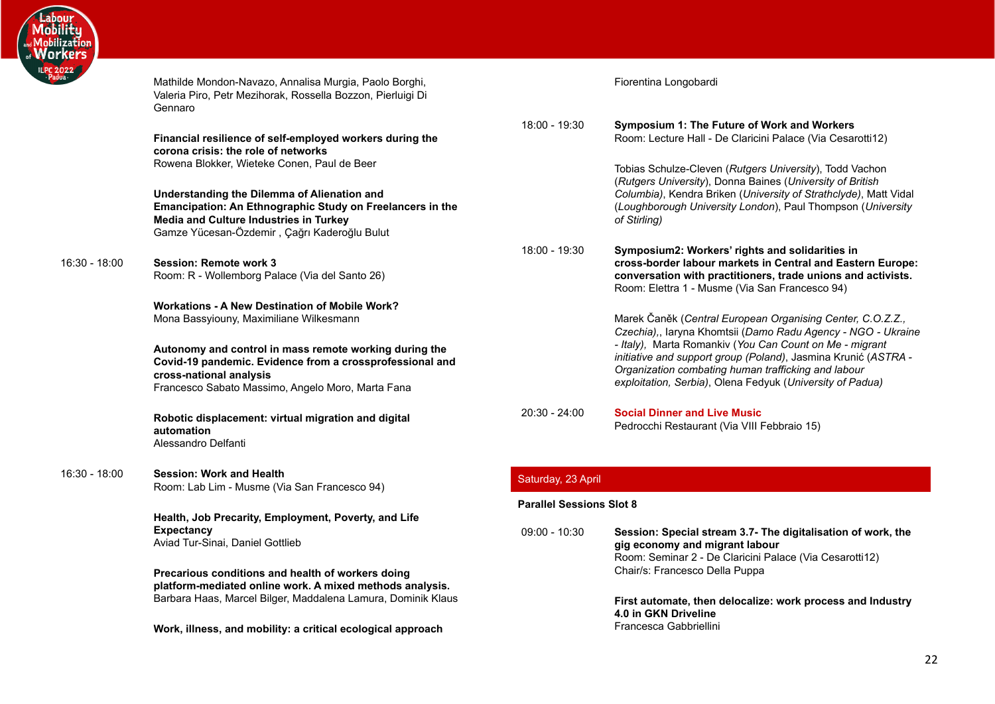

<span id="page-21-2"></span><span id="page-21-1"></span><span id="page-21-0"></span>

| 022<br><sup>Ja</sup> | Mathilde Mondon-Navazo, Annalisa Murgia, Paolo Borghi,<br>Valeria Piro, Petr Mezihorak, Rossella Bozzon, Pierluigi Di<br>Gennaro                                                                   |                    | Fiorentina Longobardi                                                                                                                                                                                                                         |  |  |
|----------------------|----------------------------------------------------------------------------------------------------------------------------------------------------------------------------------------------------|--------------------|-----------------------------------------------------------------------------------------------------------------------------------------------------------------------------------------------------------------------------------------------|--|--|
|                      | Financial resilience of self-employed workers during the<br>corona crisis: the role of networks                                                                                                    | 18:00 - 19:30      | Symposium 1: The Future of Work and Workers<br>Room: Lecture Hall - De Claricini Palace (Via Cesarotti12)                                                                                                                                     |  |  |
|                      | Rowena Blokker, Wieteke Conen, Paul de Beer                                                                                                                                                        |                    | Tobias Schulze-Cleven (Rutgers University), Todd Vachon<br>(Rutgers University), Donna Baines (University of British                                                                                                                          |  |  |
|                      | Understanding the Dilemma of Alienation and<br>Emancipation: An Ethnographic Study on Freelancers in the<br>Media and Culture Industries in Turkey<br>Gamze Yücesan-Özdemir, Çağrı Kaderoğlu Bulut |                    | Columbia), Kendra Briken (University of Strathclyde), Matt Vidal<br>(Loughborough University London), Paul Thompson (University<br>of Stirling)                                                                                               |  |  |
| 16:30 - 18:00        | <b>Session: Remote work 3</b><br>Room: R - Wollemborg Palace (Via del Santo 26)                                                                                                                    | 18:00 - 19:30      | Symposium2: Workers' rights and solidarities in<br>cross-border labour markets in Central and Eastern Europe:<br>conversation with practitioners, trade unions and activists.<br>Room: Elettra 1 - Musme (Via San Francesco 94)               |  |  |
|                      | <b>Workations - A New Destination of Mobile Work?</b>                                                                                                                                              |                    |                                                                                                                                                                                                                                               |  |  |
|                      | Mona Bassyiouny, Maximiliane Wilkesmann                                                                                                                                                            |                    | Marek Čaněk (Central European Organising Center, C.O.Z.Z.,<br>Czechia),, laryna Khomtsii (Damo Radu Agency - NGO - Ukraine                                                                                                                    |  |  |
|                      | Autonomy and control in mass remote working during the<br>Covid-19 pandemic. Evidence from a crossprofessional and<br>cross-national analysis<br>Francesco Sabato Massimo, Angelo Moro, Marta Fana |                    | - Italy), Marta Romankiv (You Can Count on Me - migrant<br>initiative and support group (Poland), Jasmina Krunić (ASTRA -<br>Organization combating human trafficking and labour<br>exploitation, Serbia), Olena Fedyuk (University of Padua) |  |  |
|                      | Robotic displacement: virtual migration and digital<br>automation<br>Alessandro Delfanti                                                                                                           | $20:30 - 24:00$    | <b>Social Dinner and Live Music</b><br>Pedrocchi Restaurant (Via VIII Febbraio 15)                                                                                                                                                            |  |  |
| 16:30 - 18:00        | <b>Session: Work and Health</b><br>Room: Lab Lim - Musme (Via San Francesco 94)                                                                                                                    | Saturday, 23 April |                                                                                                                                                                                                                                               |  |  |
|                      |                                                                                                                                                                                                    |                    | <b>Parallel Sessions Slot 8</b>                                                                                                                                                                                                               |  |  |
|                      | Health, Job Precarity, Employment, Poverty, and Life                                                                                                                                               |                    |                                                                                                                                                                                                                                               |  |  |
|                      | <b>Expectancy</b><br>Aviad Tur-Sinai, Daniel Gottlieb                                                                                                                                              | $09:00 - 10:30$    | Session: Special stream 3.7- The digitalisation of work, the<br>gig economy and migrant labour<br>Room: Seminar 2 - De Claricini Palace (Via Cesarotti12)                                                                                     |  |  |
|                      | Precarious conditions and health of workers doing<br>platform-mediated online work. A mixed methods analysis.                                                                                      |                    | Chair/s: Francesco Della Puppa                                                                                                                                                                                                                |  |  |
|                      | Barbara Haas, Marcel Bilger, Maddalena Lamura, Dominik Klaus                                                                                                                                       |                    | First automate, then delocalize: work process and Industry<br>4.0 in GKN Driveline                                                                                                                                                            |  |  |
|                      | Work, illness, and mobility: a critical ecological approach                                                                                                                                        |                    | Francesca Gabbriellini                                                                                                                                                                                                                        |  |  |
|                      |                                                                                                                                                                                                    |                    |                                                                                                                                                                                                                                               |  |  |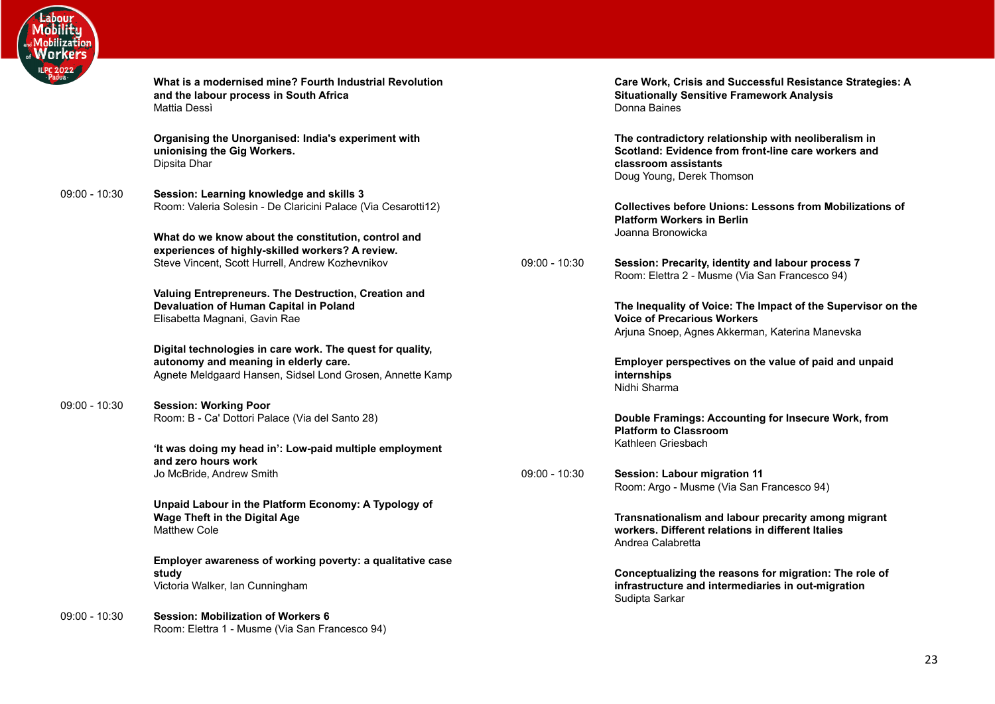

| Jua -           | What is a modernised mine? Fourth Industrial Revolution<br>and the labour process in South Africa<br>Mattia Dessì                                               |
|-----------------|-----------------------------------------------------------------------------------------------------------------------------------------------------------------|
|                 | Organising the Unorganised: India's experiment with<br>unionising the Gig Workers.<br>Dipsita Dhar                                                              |
| $09:00 - 10:30$ | Session: Learning knowledge and skills 3<br>Room: Valeria Solesin - De Claricini Palace (Via Cesarotti12)                                                       |
|                 | What do we know about the constitution, control and<br>experiences of highly-skilled workers? A review.<br>Steve Vincent, Scott Hurrell, Andrew Kozhevnikov     |
|                 | Valuing Entrepreneurs. The Destruction, Creation and<br>Devaluation of Human Capital in Poland<br>Elisabetta Magnani, Gavin Rae                                 |
|                 | Digital technologies in care work. The quest for quality,<br>autonomy and meaning in elderly care.<br>Agnete Meldgaard Hansen, Sidsel Lond Grosen, Annette Kamp |
| $09:00 - 10:30$ | <b>Session: Working Poor</b><br>Room: B - Ca' Dottori Palace (Via del Santo 28)                                                                                 |
|                 | 'It was doing my head in': Low-paid multiple employment<br>and zero hours work<br>Jo McBride, Andrew Smith                                                      |
|                 | Unpaid Labour in the Platform Economy: A Typology of<br><b>Wage Theft in the Digital Age</b><br><b>Matthew Cole</b>                                             |
|                 | Employer awareness of working poverty: a qualitative case<br>study<br>Victoria Walker, Ian Cunningham                                                           |
| $09:00 - 10:30$ | <b>Session: Mobilization of Workers 6</b><br>Room: Elettra 1 - Musme (Via San Francesco 94)                                                                     |

**Care Work, Crisis and Successful Resistance Strategies: A Situationally Sensitive Framework Analysis** Donna Baines

**The contradictory relationship with neoliberalism in Scotland: Evidence from front-line care workers and classroom assistants** Doug Young, Derek Thomson

**Collectives before Unions: Lessons from Mobilizations of Platform Workers in Berlin** Joanna Bronowicka

09:00 - 10:30 **Session: Precarity, identity and labour process 7** Room: Elettra 2 - Musme (Via San Francesco 94)

> **The Inequality of Voice: The Impact of the Supervisor on the Voice of Precarious Workers** Arjuna Snoep, Agnes Akkerman, Katerina Manevska

**Employer perspectives on the value of paid and unpaid internships** Nidhi Sharma

**Double Framings: Accounting for Insecure Work, from Platform to Classroom** Kathleen Griesbach

09:00 - 10:30 **Session: Labour migration 11** Room: Argo - Musme (Via San Francesco 94)

> **Transnationalism and labour precarity among migrant workers. Different relations in different Italies** Andrea Calabretta

> **Conceptualizing the reasons for migration: The role of infrastructure and intermediaries in out-migration** Sudipta Sarkar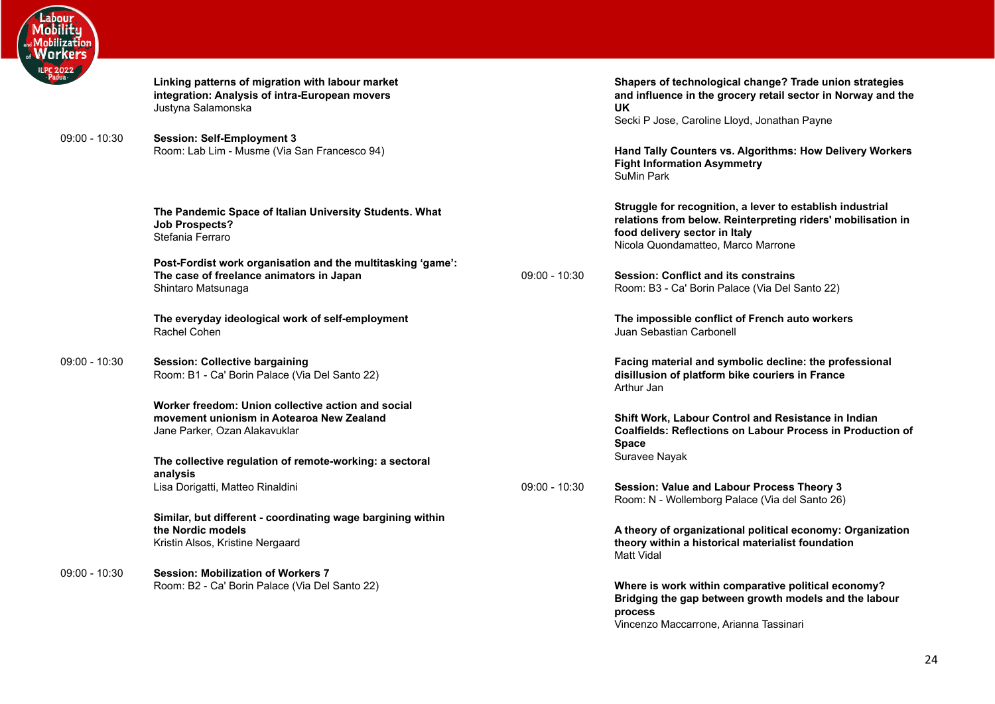

| Linking patterns of migration with labour market |
|--------------------------------------------------|
| integration: Analysis of intra-European movers   |
| Justyna Salamonska                               |

09:00 - 10:30 **Session: Self-Employment 3** Room: Lab Lim - Musme (Via San Francesco 94)

> **The Pandemic Space of Italian University Students. What Job Prospects?** Stefania Ferraro

**Post-Fordist work organisation and the multitasking 'game': The case of freelance animators in Japan** Shintaro Matsunaga

**The everyday ideological work of self-employment** Rachel Cohen

09:00 - 10:30 **Session: Collective bargaining** Room: B1 - Ca' Borin Palace (Via Del Santo 22)

> **Worker freedom: Union collective action and social movement unionism in Aotearoa New Zealand** Jane Parker, Ozan Alakavuklar

**The collective regulation of remote-working: a sectoral analysis** Lisa Dorigatti, Matteo Rinaldini

**Similar, but different - coordinating wage bargining within the Nordic models** Kristin Alsos, Kristine Nergaard

09:00 - 10:30 **Session: Mobilization of Workers 7** Room: B2 - Ca' Borin Palace (Via Del Santo 22) **Shapers of technological change? Trade union strategies and influence in the grocery retail sector in Norway and the UK**

Secki P Jose, Caroline Lloyd, Jonathan Payne

**Hand Tally Counters vs. Algorithms: How Delivery Workers Fight Information Asymmetry** SuMin Park

**Struggle for recognition, a lever to establish industrial relations from below. Reinterpreting riders' mobilisation in food delivery sector in Italy** Nicola Quondamatteo, Marco Marrone

09:00 - 10:30 **Session: Conflict and its constrains** Room: B3 - Ca' Borin Palace (Via Del Santo 22)

> **The impossible conflict of French auto workers** Juan Sebastian Carbonell

**Facing material and symbolic decline: the professional disillusion of platform bike couriers in France** Arthur Jan

**Shift Work, Labour Control and Resistance in Indian Coalfields: Reflections on Labour Process in Production of Space** Suravee Nayak

09:00 - 10:30 **Session: Value and Labour Process Theory 3** Room: N - Wollemborg Palace (Via del Santo 26)

> **A theory of organizational political economy: Organization theory within a historical materialist foundation** Matt Vidal

**Where is work within comparative political economy? Bridging the gap between growth models and the labour process** Vincenzo Maccarrone, Arianna Tassinari